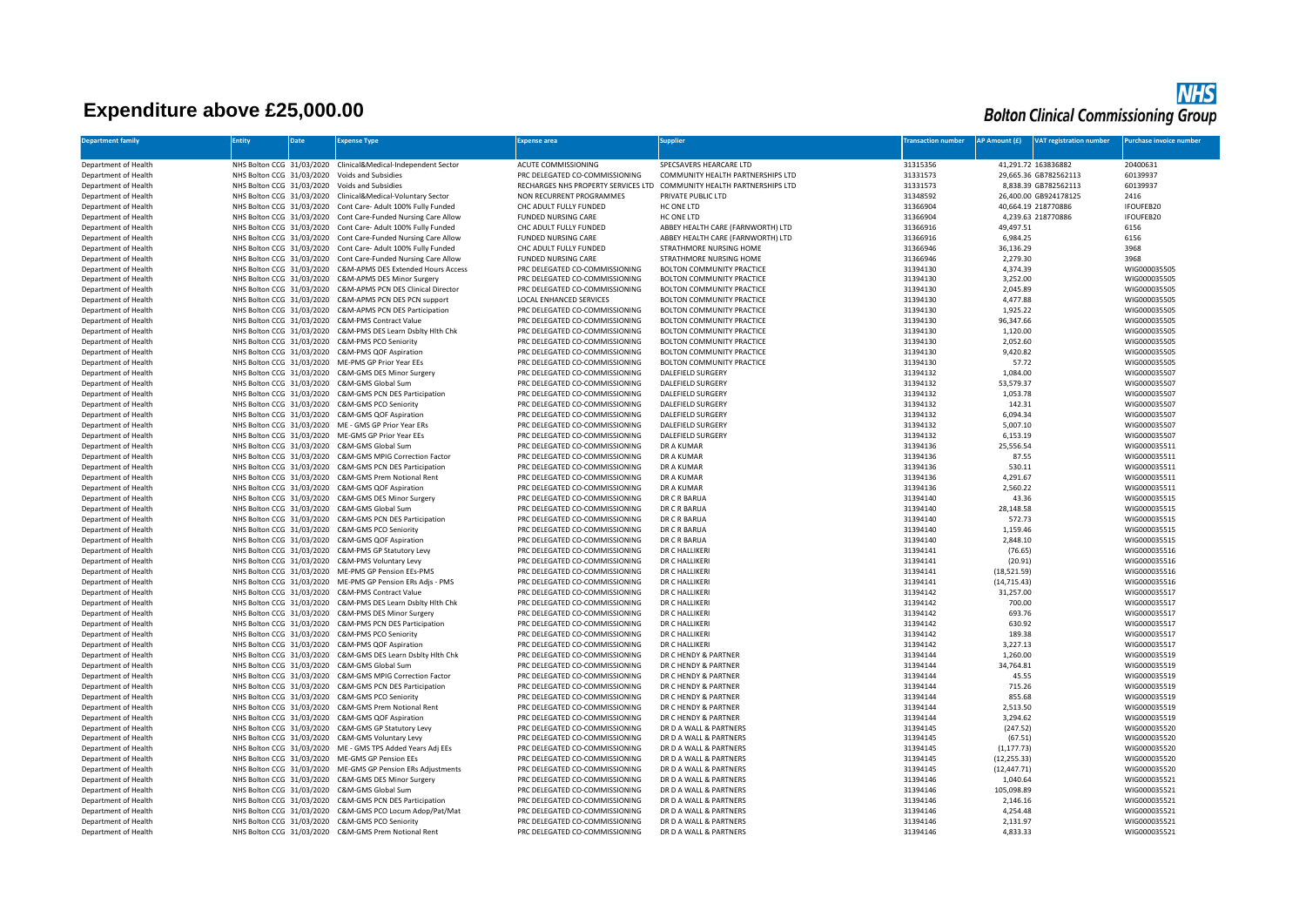## **Expenditure above £25,000.00**

|                                            | <b>NHS</b> |
|--------------------------------------------|------------|
| <b>Bolton Clinical Commissioning Group</b> |            |

| <b>Department family</b>                     | <b>Entity</b>             | <b>Date</b> | <b>Expense Type</b>                                                                                             | xpense area                                                      | Supplier                                                     | <b>Transaction number</b> | <b>AP Amount (£)</b>   | <b>VAT registration number</b> | Purchase invoice number      |
|----------------------------------------------|---------------------------|-------------|-----------------------------------------------------------------------------------------------------------------|------------------------------------------------------------------|--------------------------------------------------------------|---------------------------|------------------------|--------------------------------|------------------------------|
| Department of Health                         |                           |             | NHS Bolton CCG 31/03/2020 Clinical&Medical-Independent Sector                                                   | ACUTE COMMISSIONING                                              | SPECSAVERS HEARCARE LTD                                      | 31315356                  |                        | 41,291.72 163836882            | 20400631                     |
| Department of Health                         |                           |             | NHS Bolton CCG 31/03/2020 Voids and Subsidies                                                                   | PRC DELEGATED CO-COMMISSIONING                                   | COMMUNITY HEALTH PARTNERSHIPS LTD                            | 31331573                  |                        | 29,665.36 GB782562113          | 60139937                     |
| Department of Health                         |                           |             | NHS Bolton CCG 31/03/2020 Voids and Subsidies                                                                   | RECHARGES NHS PROPERTY SERVICES LTD                              | COMMUNITY HEALTH PARTNERSHIPS LTD                            | 31331573                  |                        | 8.838.39 GB782562113           | 60139937                     |
| Department of Health                         |                           |             | NHS Bolton CCG 31/03/2020 Clinical&Medical-Voluntary Sector                                                     | NON RECURRENT PROGRAMMES                                         | PRIVATE PUBLIC LTD                                           | 31348592                  |                        | 26,400.00 GB924178125          | 2416                         |
| Department of Health                         |                           |             | NHS Bolton CCG 31/03/2020 Cont Care- Adult 100% Fully Funded                                                    | CHC ADULT FULLY FUNDED                                           | HC ONE LTD                                                   | 31366904                  |                        | 40,664.19 218770886            | <b>IFOUFEB20</b>             |
| Department of Health                         |                           |             | NHS Bolton CCG 31/03/2020 Cont Care-Funded Nursing Care Allow                                                   | <b>FUNDED NURSING CARE</b>                                       | HC ONE LTD                                                   | 31366904                  |                        | 4,239.63 218770886             | IFOUFEB20                    |
| Department of Health                         |                           |             | NHS Bolton CCG 31/03/2020 Cont Care- Adult 100% Fully Funded                                                    | CHC ADULT FULLY FUNDED<br><b>FUNDED NURSING CARE</b>             | ABBEY HEALTH CARE (FARNWORTH) LTD                            | 31366916                  | 49,497.51              |                                | 6156                         |
| Department of Health<br>Department of Health | NHS Bolton CCG 31/03/2020 |             | NHS Bolton CCG 31/03/2020 Cont Care-Funded Nursing Care Allow<br>Cont Care- Adult 100% Fully Funded             | CHC ADULT FULLY FUNDED                                           | ABBEY HEALTH CARE (FARNWORTH) LTD<br>STRATHMORE NURSING HOME | 31366916<br>31366946      | 6,984.25<br>36,136.29  |                                | 6156<br>3968                 |
| Department of Health                         |                           |             | NHS Bolton CCG 31/03/2020 Cont Care-Funded Nursing Care Allow                                                   | <b>FUNDED NURSING CARE</b>                                       | STRATHMORE NURSING HOME                                      | 31366946                  | 2,279.30               |                                | 3968                         |
| Department of Health                         |                           |             | NHS Bolton CCG 31/03/2020 C&M-APMS DES Extended Hours Access                                                    | PRC DELEGATED CO-COMMISSIONING                                   | BOLTON COMMUNITY PRACTICE                                    | 31394130                  | 4,374.39               |                                | WIG000035505                 |
| Department of Health                         |                           |             | NHS Bolton CCG 31/03/2020 C&M-APMS DES Minor Surgery                                                            | PRC DELEGATED CO-COMMISSIONING                                   | BOLTON COMMUNITY PRACTICE                                    | 31394130                  | 3,252.00               |                                | WIG000035505                 |
| Department of Health                         |                           |             | NHS Bolton CCG 31/03/2020 C&M-APMS PCN DES Clinical Director                                                    | PRC DELEGATED CO-COMMISSIONING                                   | <b>BOLTON COMMUNITY PRACTICE</b>                             | 31394130                  | 2,045.89               |                                | WIG000035505                 |
| Department of Health                         | NHS Bolton CCG 31/03/2020 |             | C&M-APMS PCN DES PCN support                                                                                    | LOCAL ENHANCED SERVICES                                          | <b>BOLTON COMMUNITY PRACTICE</b>                             | 31394130                  | 4,477.88               |                                | WIG000035505                 |
| Department of Health                         |                           |             | NHS Bolton CCG 31/03/2020 C&M-APMS PCN DES Participation                                                        | PRC DELEGATED CO-COMMISSIONING                                   | <b>BOLTON COMMUNITY PRACTICE</b>                             | 31394130                  | 1,925.22               |                                | WIG000035505                 |
| Department of Health                         |                           |             | NHS Bolton CCG 31/03/2020 C&M-PMS Contract Value                                                                | PRC DELEGATED CO-COMMISSIONING                                   | BOLTON COMMUNITY PRACTICE                                    | 31394130                  | 96,347.66              |                                | WIG000035505                 |
| Department of Health                         |                           |             | NHS Bolton CCG 31/03/2020 C&M-PMS DES Learn Dsblty Hlth Chk                                                     | PRC DELEGATED CO-COMMISSIONING                                   | <b>BOLTON COMMUNITY PRACTICE</b>                             | 31394130                  | 1,120.00               |                                | WIG000035505                 |
| Department of Health                         |                           |             | NHS Bolton CCG 31/03/2020 C&M-PMS PCO Seniority                                                                 | PRC DELEGATED CO-COMMISSIONING                                   | BOLTON COMMUNITY PRACTICE                                    | 31394130                  | 2,052.60               |                                | WIG000035505                 |
| Department of Health                         |                           |             | NHS Bolton CCG 31/03/2020 C&M-PMS QOF Aspiration                                                                | PRC DELEGATED CO-COMMISSIONING                                   | <b>BOLTON COMMUNITY PRACTICE</b>                             | 31394130                  | 9,420.82               |                                | WIG000035505                 |
| Department of Health                         |                           |             | NHS Bolton CCG 31/03/2020 ME-PMS GP Prior Year EEs                                                              | PRC DELEGATED CO-COMMISSIONING                                   | <b>BOLTON COMMUNITY PRACTICE</b>                             | 31394130                  | 57.72                  |                                | WIG000035505                 |
| Department of Health<br>Department of Health |                           |             | NHS Bolton CCG 31/03/2020 C&M-GMS DES Minor Surgery<br>NHS Bolton CCG 31/03/2020 C&M-GMS Global Sum             | PRC DELEGATED CO-COMMISSIONING<br>PRC DELEGATED CO-COMMISSIONING | <b>DALEFIELD SURGERY</b><br><b>DALEFIELD SURGERY</b>         | 31394132<br>31394132      | 1,084.00<br>53,579.37  |                                | WIG000035507<br>WIG000035507 |
| Department of Health                         |                           |             | NHS Bolton CCG 31/03/2020 C&M-GMS PCN DES Participation                                                         | PRC DELEGATED CO-COMMISSIONING                                   | DALEFIELD SURGERY                                            | 31394132                  | 1,053.78               |                                | WIG000035507                 |
| Department of Health                         | NHS Bolton CCG 31/03/2020 |             | C&M-GMS PCO Seniority                                                                                           | PRC DELEGATED CO-COMMISSIONING                                   | <b>DALEFIELD SURGERY</b>                                     | 31394132                  | 142.31                 |                                | WIG000035507                 |
| Department of Health                         |                           |             | NHS Bolton CCG 31/03/2020 C&M-GMS QOF Aspiration                                                                | PRC DELEGATED CO-COMMISSIONING                                   | <b>DALEFIELD SURGERY</b>                                     | 31394132                  | 6,094.34               |                                | WIG000035507                 |
| Department of Health                         |                           |             | NHS Bolton CCG 31/03/2020 ME - GMS GP Prior Year ERs                                                            | PRC DELEGATED CO-COMMISSIONING                                   | DALEFIELD SURGERY                                            | 31394132                  | 5,007.10               |                                | WIG000035507                 |
| Department of Health                         |                           |             | NHS Bolton CCG 31/03/2020 ME-GMS GP Prior Year EEs                                                              | PRC DELEGATED CO-COMMISSIONING                                   | <b>DALEFIELD SURGERY</b>                                     | 31394132                  | 6,153.19               |                                | WIG000035507                 |
| Department of Health                         |                           |             | NHS Bolton CCG 31/03/2020 C&M-GMS Global Sum                                                                    | PRC DELEGATED CO-COMMISSIONING                                   | DR A KUMAR                                                   | 31394136                  | 25,556.54              |                                | WIG000035511                 |
| Department of Health                         |                           |             | NHS Bolton CCG 31/03/2020 C&M-GMS MPIG Correction Factor                                                        | PRC DELEGATED CO-COMMISSIONING                                   | <b>DR A KUMAR</b>                                            | 31394136                  | 87.55                  |                                | WIG000035511                 |
| Department of Health                         |                           |             | NHS Bolton CCG 31/03/2020 C&M-GMS PCN DES Participation                                                         | PRC DELEGATED CO-COMMISSIONING                                   | DR A KUMAR                                                   | 31394136                  | 530.11                 |                                | WIG000035511                 |
| Department of Health                         |                           |             | NHS Bolton CCG 31/03/2020 C&M-GMS Prem Notional Rent                                                            | PRC DELEGATED CO-COMMISSIONING                                   | DR A KUMAR                                                   | 31394136                  | 4,291.67               |                                | WIG000035511                 |
| Department of Health                         |                           |             | NHS Bolton CCG 31/03/2020 C&M-GMS QOF Aspiration                                                                | PRC DELEGATED CO-COMMISSIONING                                   | DR A KUMAR                                                   | 31394136                  | 2,560.22               |                                | WIG000035511                 |
| Department of Health                         | NHS Bolton CCG 31/03/2020 |             | C&M-GMS DES Minor Surgery                                                                                       | PRC DELEGATED CO-COMMISSIONING                                   | DR C R BARUA                                                 | 31394140                  | 43.36                  |                                | WIG000035515                 |
| Department of Health<br>Department of Health |                           |             | NHS Bolton CCG 31/03/2020 C&M-GMS Global Sum                                                                    | PRC DELEGATED CO-COMMISSIONING<br>PRC DELEGATED CO-COMMISSIONING | DR C R BARUA<br>DR C R BARUA                                 | 31394140<br>31394140      | 28,148.58<br>572.73    |                                | WIG000035515<br>WIG000035515 |
| Department of Health                         |                           |             | NHS Bolton CCG 31/03/2020 C&M-GMS PCN DES Participation<br>NHS Bolton CCG 31/03/2020 C&M-GMS PCO Seniority      | PRC DELEGATED CO-COMMISSIONING                                   | DR C R BARUA                                                 | 31394140                  | 1,159.46               |                                | WIG000035515                 |
| Department of Health                         |                           |             | NHS Bolton CCG 31/03/2020 C&M-GMS QOF Aspiration                                                                | PRC DELEGATED CO-COMMISSIONING                                   | DR C R BARUA                                                 | 31394140                  | 2,848.10               |                                | WIG000035515                 |
| Department of Health                         |                           |             | NHS Bolton CCG 31/03/2020 C&M-PMS GP Statutory Levy                                                             | PRC DELEGATED CO-COMMISSIONING                                   | DR C HALLIKERI                                               | 31394141                  | (76.65)                |                                | WIG000035516                 |
| Department of Health                         |                           |             | NHS Bolton CCG 31/03/2020 C&M-PMS Voluntary Levy                                                                | PRC DELEGATED CO-COMMISSIONING                                   | DR C HALLIKERI                                               | 31394141                  | (20.91)                |                                | WIG000035516                 |
| Department of Health                         |                           |             | NHS Bolton CCG 31/03/2020 ME-PMS GP Pension EEs-PMS                                                             | PRC DELEGATED CO-COMMISSIONING                                   | DR C HALLIKERI                                               | 31394141                  | (18, 521.59)           |                                | WIG000035516                 |
| Department of Health                         |                           |             | NHS Bolton CCG 31/03/2020 ME-PMS GP Pension ERs Adjs - PMS                                                      | PRC DELEGATED CO-COMMISSIONING                                   | DR C HALLIKERI                                               | 31394141                  | (14, 715.43)           |                                | WIG000035516                 |
| Department of Health                         |                           |             | NHS Bolton CCG 31/03/2020 C&M-PMS Contract Value                                                                | PRC DELEGATED CO-COMMISSIONING                                   | DR C HALLIKERI                                               | 31394142                  | 31,257.00              |                                | WIG000035517                 |
| Department of Health                         |                           |             | NHS Bolton CCG 31/03/2020 C&M-PMS DES Learn Dsblty Hlth Chk                                                     | PRC DELEGATED CO-COMMISSIONING                                   | DR C HALLIKERI                                               | 31394142                  | 700.00                 |                                | WIG000035517                 |
| Department of Health                         |                           |             | NHS Bolton CCG 31/03/2020 C&M-PMS DES Minor Surgery                                                             | PRC DELEGATED CO-COMMISSIONING                                   | DR C HALLIKERI                                               | 31394142                  | 693.76                 |                                | WIG000035517                 |
| Department of Health                         |                           |             | NHS Bolton CCG 31/03/2020 C&M-PMS PCN DES Participation                                                         | PRC DELEGATED CO-COMMISSIONING                                   | DR C HALLIKERI                                               | 31394142                  | 630.92                 |                                | WIG000035517                 |
| Department of Health                         |                           |             | NHS Bolton CCG 31/03/2020 C&M-PMS PCO Seniority                                                                 | PRC DELEGATED CO-COMMISSIONING                                   | DR C HALLIKERI                                               | 31394142                  | 189.38                 |                                | WIG000035517                 |
| Department of Health<br>Department of Health |                           |             | NHS Bolton CCG 31/03/2020 C&M-PMS QOF Aspiration<br>NHS Bolton CCG 31/03/2020 C&M-GMS DES Learn Dsblty Hith Chk | PRC DELEGATED CO-COMMISSIONING<br>PRC DELEGATED CO-COMMISSIONING | DR C HALLIKERI<br>DR C HENDY & PARTNER                       | 31394142<br>31394144      | 3,227.13<br>1,260.00   |                                | WIG000035517<br>WIG000035519 |
| Department of Health                         |                           |             | NHS Bolton CCG 31/03/2020 C&M-GMS Global Sum                                                                    | PRC DELEGATED CO-COMMISSIONING                                   | DR C HENDY & PARTNER                                         | 31394144                  | 34,764.81              |                                | WIG000035519                 |
| Department of Health                         |                           |             | NHS Bolton CCG 31/03/2020 C&M-GMS MPIG Correction Factor                                                        | PRC DELEGATED CO-COMMISSIONING                                   | DR C HENDY & PARTNER                                         | 31394144                  | 45.55                  |                                | WIG000035519                 |
| Department of Health                         |                           |             | NHS Bolton CCG 31/03/2020 C&M-GMS PCN DES Participation                                                         | PRC DELEGATED CO-COMMISSIONING                                   | DR C HENDY & PARTNER                                         | 31394144                  | 715.26                 |                                | WIG000035519                 |
| Department of Health                         |                           |             | NHS Bolton CCG 31/03/2020 C&M-GMS PCO Seniority                                                                 | PRC DELEGATED CO-COMMISSIONING                                   | DR C HENDY & PARTNER                                         | 31394144                  | 855.68                 |                                | WIG000035519                 |
| Department of Health                         |                           |             | NHS Bolton CCG 31/03/2020 C&M-GMS Prem Notional Rent                                                            | PRC DELEGATED CO-COMMISSIONING                                   | DR C HENDY & PARTNER                                         | 31394144                  | 2,513.50               |                                | WIG000035519                 |
| Department of Health                         |                           |             | NHS Bolton CCG 31/03/2020 C&M-GMS QOF Aspiration                                                                | PRC DELEGATED CO-COMMISSIONING                                   | DR C HENDY & PARTNER                                         | 31394144                  | 3,294.62               |                                | WIG000035519                 |
| Department of Health                         |                           |             | NHS Bolton CCG 31/03/2020 C&M-GMS GP Statutory Levy                                                             | PRC DELEGATED CO-COMMISSIONING                                   | DR D A WALL & PARTNERS                                       | 31394145                  | (247.52)               |                                | WIG000035520                 |
| Department of Health                         |                           |             | NHS Bolton CCG 31/03/2020 C&M-GMS Voluntary Levy                                                                | PRC DELEGATED CO-COMMISSIONING                                   | DR D A WALL & PARTNERS                                       | 31394145                  | (67.51)                |                                | WIG000035520                 |
| Department of Health                         |                           |             | NHS Bolton CCG 31/03/2020 ME - GMS TPS Added Years Adj EEs                                                      | PRC DELEGATED CO-COMMISSIONING                                   | DR D A WALL & PARTNERS                                       | 31394145                  | (1, 177.73)            |                                | WIG000035520                 |
| Department of Health                         |                           |             | NHS Bolton CCG 31/03/2020 ME-GMS GP Pension EEs                                                                 | PRC DELEGATED CO-COMMISSIONING                                   | DR D A WALL & PARTNERS                                       | 31394145                  | (12, 255.33)           |                                | WIG000035520                 |
| Department of Health                         |                           |             | NHS Bolton CCG 31/03/2020 ME-GMS GP Pension ERs Adjustments                                                     | PRC DELEGATED CO-COMMISSIONING                                   | DR D A WALL & PARTNERS                                       | 31394145                  | (12, 447.71)           |                                | WIG000035520                 |
| Department of Health<br>Department of Health |                           |             | NHS Bolton CCG 31/03/2020 C&M-GMS DES Minor Surgery<br>NHS Bolton CCG 31/03/2020 C&M-GMS Global Sum             | PRC DELEGATED CO-COMMISSIONING<br>PRC DELEGATED CO-COMMISSIONING | DR D A WALL & PARTNERS<br>DR D A WALL & PARTNERS             | 31394146<br>31394146      | 1,040.64<br>105,098.89 |                                | WIG000035521<br>WIG000035521 |
| Department of Health                         |                           |             | NHS Bolton CCG 31/03/2020 C&M-GMS PCN DES Participation                                                         | PRC DELEGATED CO-COMMISSIONING                                   | DR D A WALL & PARTNERS                                       | 31394146                  | 2,146.16               |                                | WIG000035521                 |
| Department of Health                         | NHS Bolton CCG 31/03/2020 |             | C&M-GMS PCO Locum Adop/Pat/Mat                                                                                  | PRC DELEGATED CO-COMMISSIONING                                   | DR D A WALL & PARTNERS                                       | 31394146                  | 4,254.48               |                                | WIG000035521                 |
| Department of Health                         |                           |             | NHS Bolton CCG 31/03/2020 C&M-GMS PCO Seniority                                                                 | PRC DELEGATED CO-COMMISSIONING                                   | DR D A WALL & PARTNERS                                       | 31394146                  | 2,131.97               |                                | WIG000035521                 |
| Department of Health                         |                           |             | NHS Bolton CCG 31/03/2020 C&M-GMS Prem Notional Rent                                                            | PRC DELEGATED CO-COMMISSIONING                                   | DR D A WALL & PARTNERS                                       | 31394146                  | 4,833.33               |                                | WIG000035521                 |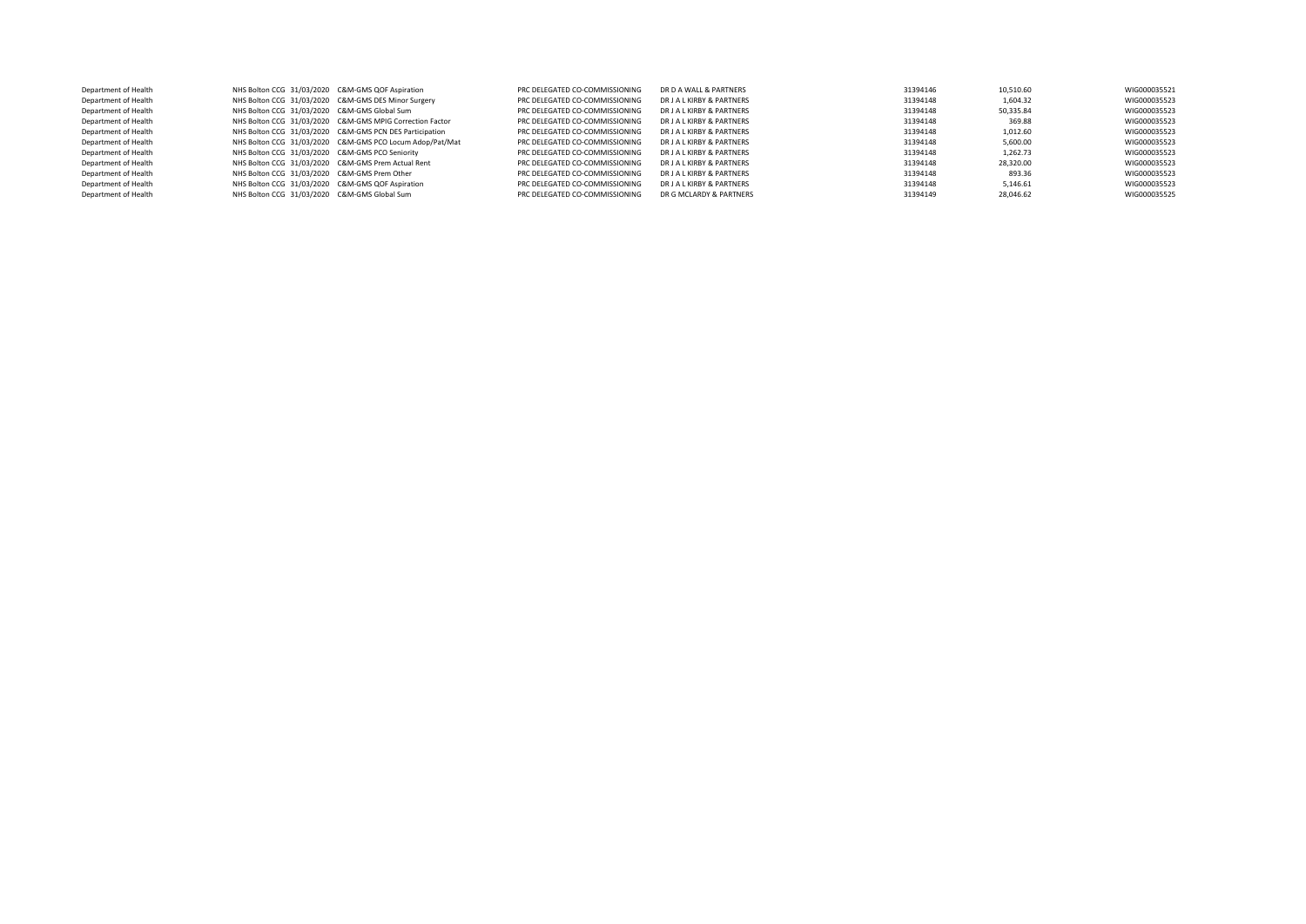| Department of Health | NHS Bolton CCG 31/03/2020 C&M-GMS QOF Aspiration   |                                                          | PRC DELEGATED CO-COMMISSIONING | DR D A WALL & PARTNERS    | 31394146 | 10,510.60 | WIG000035521 |
|----------------------|----------------------------------------------------|----------------------------------------------------------|--------------------------------|---------------------------|----------|-----------|--------------|
| Department of Health |                                                    | NHS Bolton CCG 31/03/2020 C&M-GMS DES Minor Surgery      | PRC DELEGATED CO-COMMISSIONING | DR J A L KIRBY & PARTNERS | 31394148 | 1.604.32  | WIG000035523 |
| Department of Health | NHS Bolton CCG 31/03/2020 C&M-GMS Global Sum       |                                                          | PRC DELEGATED CO-COMMISSIONING | DR J A L KIRBY & PARTNERS | 31394148 | 50,335.84 | WIG000035523 |
| Department of Health |                                                    | NHS Bolton CCG 31/03/2020 C&M-GMS MPIG Correction Factor | PRC DELEGATED CO-COMMISSIONING | DR J A L KIRBY & PARTNERS | 31394148 | 369.88    | WIG000035523 |
| Department of Health |                                                    | NHS Bolton CCG 31/03/2020 C&M-GMS PCN DES Participation  | PRC DELEGATED CO-COMMISSIONING | DR J A L KIRBY & PARTNERS | 31394148 | 1.012.60  | WIG000035523 |
| Department of Health |                                                    | NHS Bolton CCG 31/03/2020 C&M-GMS PCO Locum Adop/Pat/Mat | PRC DELEGATED CO-COMMISSIONING | DR J A L KIRBY & PARTNERS | 31394148 | 5.600.00  | WIG000035523 |
| Department of Health | NHS Bolton CCG 31/03/2020 C&M-GMS PCO Seniority    |                                                          | PRC DELEGATED CO-COMMISSIONING | DR J A L KIRBY & PARTNERS | 31394148 | 1.262.73  | WIG000035523 |
| Department of Health | NHS Bolton CCG 31/03/2020 C&M-GMS Prem Actual Rent |                                                          | PRC DELEGATED CO-COMMISSIONING | DR J A L KIRBY & PARTNERS | 31394148 | 28.320.00 | WIG000035523 |
| Department of Health | NHS Bolton CCG 31/03/2020 C&M-GMS Prem Other       |                                                          | PRC DELEGATED CO-COMMISSIONING | DR J A L KIRBY & PARTNERS | 31394148 | 893.36    | WIG000035523 |
| Department of Health | NHS Bolton CCG 31/03/2020 C&M-GMS QOF Aspiration   |                                                          | PRC DELEGATED CO-COMMISSIONING | DR J A L KIRBY & PARTNERS | 31394148 | 5,146.61  | WIG000035523 |
| Department of Health | NHS Bolton CCG 31/03/2020 C&M-GMS Global Sum       |                                                          | PRC DELEGATED CO-COMMISSIONING | DR G MCLARDY & PARTNERS   | 31394149 | 28,046.62 | WIG000035525 |
|                      |                                                    |                                                          |                                |                           |          |           |              |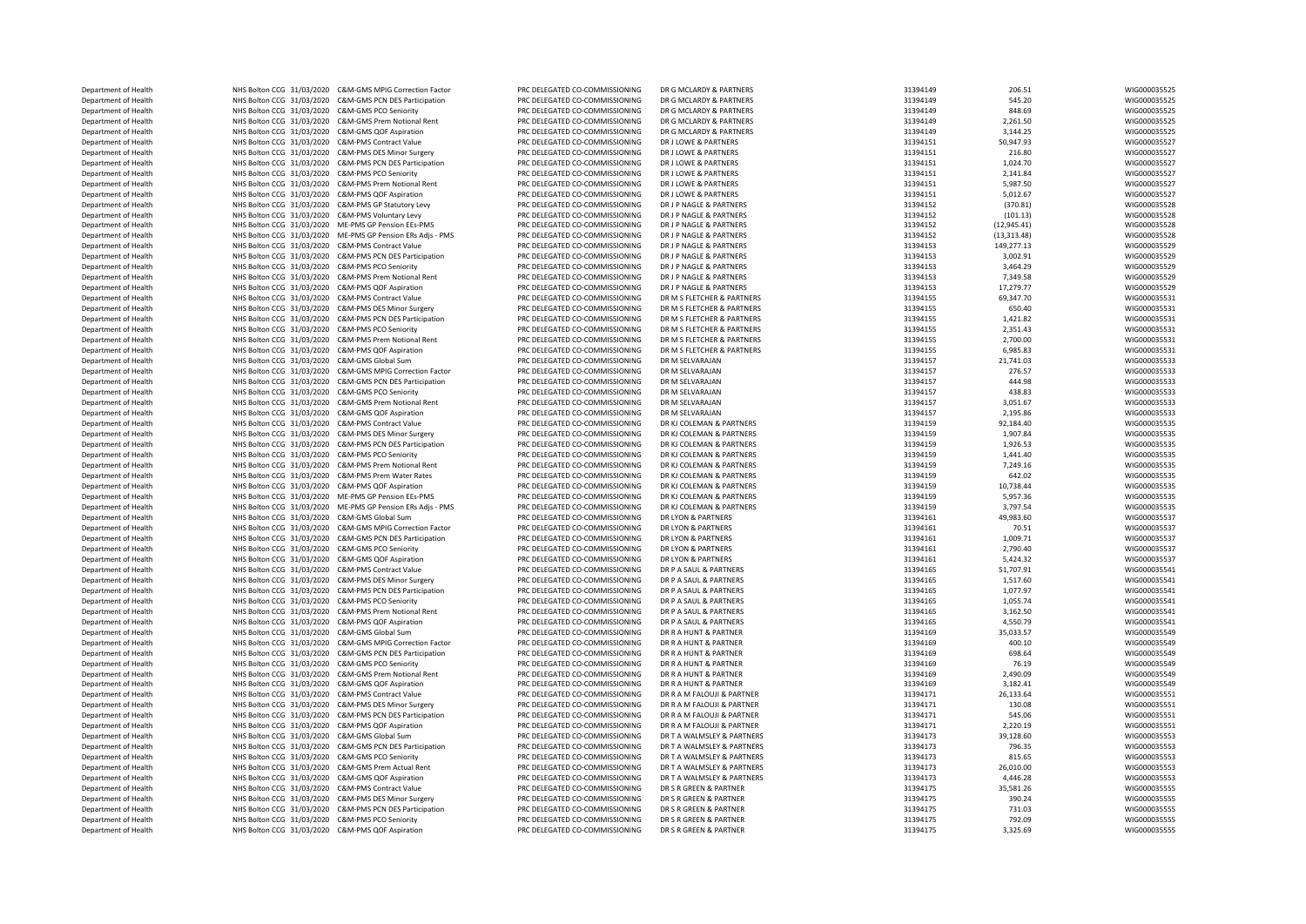NHS Bolton CCG 31/03/2020 C&M-GMS PCN DES Participation DEPARTMENT OF ALTER AND NHS Bolton CCG 31/03/2020 C&M-PMS Prem Notional Rent Department of Health NHS Bolton CCG 31/03/2020 C&M-GMS PCN DES Participation Department of Health **NHS Bolton CCG 31/03/2020** C&M-PMS DES Minor Surgery NHS Bolton CCG 31/03/2020 C&M-PMS QOF Aspiration

Department of Health NHS Bolton CCG 31/03/2020 C&M-GMS MPIG Correction Factor PRC DELEGATED CO-COMMISSIONING DR G MCLARDY & PARTNERS 31394149 206.51 206.51 WIG000035525<br>Department of Health NHS Bolton CCG 31/03/2020 C&M-GM Department of Health NHS Bolton CCG 31/03/2020 C&M-GMS PCN DES Participation PRC DELEGATED CO-COMMISSIONING DR G MCLARDY & PARTNERS 31394149 545.20 545.20 WIG00035525<br>Department of Health NHS Bolton CCG 31/03/2020 C&M-GMS Department of Health NHS Bolton CCG 31/03/2020 C&M-GMS PCO Seniority PRC DELEGATED CO-COMMISSIONING DR G MCLARDY & PARTNERS 31394149 31394149 848.69 MIG000035525<br>Department of Health NHS Bolton CCG 31/03/2020 C&M-GMS Prem Department of Health NHS Bolton CCG 31/03/2020 C&M-GMS Prem Notional Rent PRC DELEGATED CO-COMMISSIONING DR G MCLARDY & PARTNERS 31394149 2,261.50 WIG00035525<br>Department of Health NHS Bolton CCG 31/03/2020 C&M-GMS OF Aspir Department of Health NHS Bolton CCG 31/03/2020 C&M-GMS QOF Aspiration PRC DELEGATED CO-COMMISSIONING DR G MCLARDY & PARTNERS 31394149 3,144.25 3,144.25 WIG000035525 Department of Health NHS Bolton CCG 31/03/2020 C&M-PMS Contract Value PRC DELEGATED CO-COMMISSIONING DR J LOWE & PARTNERS 31394151 50,947.93 50,947.93 WIG000035527 Department of Health NHS Bolton CCG 31/03/2020 C&M-PMS DES Minor Surgery PRC DELEGATED CO-COMMISSIONING DR J LOWE & PARTNERS 31394151 216.80 WIG000035527 Department of Health MHS Bolton CCG 31/03/2020 C&M-PMS PCM DES Participation PRC DELEGATED CO-COMMISSIONING DR J LOWE & PARTNERS 31394151 1,024.70 1,024.70 WIG00035527<br>Department of Health MHS Bolton CCG 31/03/2020 C&M-PMS Department of Health NHS Bolton CCG 31/03/2020 C&M-PMS PCO Seniority PRC DELEGATED CO-COMMISSIONING DR J LOWE & PARTNERS 31394151 2,141.84 WIG00035527<br>Department of Health NHS Bolton CCG 31/03/2020 C&M-PMS Prem Notional Re Department of Health NHS Bolton CCG 31/03/2020 C&M-PMS Prem Notional Rent PRC DELEGATED CO-COMMISSIONING DR J LOWE & PARTNERS 31394151 5,987.50 5,987.50 WIG00035527<br>Department of Health NHS Bolton CCG 31/03/2020 C&M-PMS OO Department of Health NHS Bolton CCG 31/03/2020 C&M-PMS QOF Aspiration PRC DELEGATED CO-COMMISSIONING DR J LOWE & PARTNERS 31394151 5,012.67 5,012.67 WIG000035527<br>Department of Health NHS Bolton CCG 31/03/2020 C&M-PMS GP St Department of Health NHS Bolton CCG 31/03/2020 C&M-PMS GP Statutory Levy PRC DELEGATED CO-COMMISSIONING DR J P NAGLE & PARTNERS 31394152 (370.81) WIG000035528 Department of Health MHS Bolton CCG 31/03/2020 C&M-PMS Voluntary Levy PRC DELEGATED CO-COMMISSIONING DR JP NAGLE & PARTNERS 31394152 (101.13) (101.13) WIG000035528<br>Department of Health NHS Bolton CCG 31/03/2020 ME-PMS GP P Department of Health NHS Bolton CCG 31/03/2020 ME-PMS GP Pension EEs-PMS PRC DELEGATED CO-COMMISSIONING DR JP NAGLE & PARTNERS 31394152 (12,945.41) (12,945.41) WIG000035528<br>Department of Health NHS Bolton CCG 31/03/2020 ME Department of Health NHS Bolton CCG 31/03/2020 ME-PMS GP Pension ERs Adjs - PMS PRC DELEGATED CO-COMMISSIONING DR J P NAGLE & PARTNERS 31994152 (13,313.48) (13,313.48) WIG000035528 MESS Department of Health NHS Bolton CCG Department of Health NHS Bolton CCG 31/03/2020 C&M-PMS Contract Value PRC DELEGATED CO-COMMISSIONING DR JP NAGLE & PARTNERS 31394153 149,277.13 149,277.13 WIG000035529<br>Department of Health NHS Bolton CCG 31/03/2020 C&M-PMS Department of Health NHS Bolton CCG 31/03/2020 C&M-PMS PCN DES Participation PRC DELEGATED CO-COMMISSIONING DR J P NAGLE & PARTNERS 31394153 3,002.91 3,002.91 WIG000035529 Department of Health 2,444.29 NHS Bolton CCG 31/03/2020 C&M-PMS PCO Seniority PRC DELEGATED CO-COMMISSIONING DR JP NAGLE & PARTNERS 2000 2000 2000 2000 31394153 3,464.29 3,464.29 WIG000035529 WIG000035529 WIG000035529 WIG0 Department of Health NHS Bolton CCG 31/03/2020 C&M-PMS Prem Notional Rent PRC DELEGATED CO-COMMISSIONING DR JP NAGLE & PARTNERS 31394153 7,349.58 7,349.58 WIG00035529 WIG000035529 WIG000035529 WIG000035529 WIG000035529 WIG Department of Health 27,279.77 NHS Bolton CCG 31/03/2020 C&M-PMS QOF Aspiration PRO PRC DELEGATED CO-COMMISSIONING DR JP NAGLE & PARTNERS PARTNERS 31394153 17,279.77 31394155 29,347.70 MIG000035529 NIG000035531 WIG00003553 NHS Bolton CCG 31/03/2020 C&M-PMS Contract Value PRC DELEGATED CO-COMMISSIONING DR M S FLETCHER & PARTNERS 31394155 69,347.70 69,347.70 WIG000035531 WIG000035531 WIG000035531 WIG000035531 PRO COMMISSIONING DR M S FLETCHER Department of Health NHS Bolton CCG 31/03/2020 C&M-PMS DES Minor Surgery PRC DELEGATED CO-COMMISSIONING DR M S FLETCHER & PARTNERS 31394155 31394155 650.40 650.40 WIG000035531 Department of Health NHS Bolton CCG 31/03/2020 C&M-PMS PCN DES Participation PRC DELEGATED CO-COMMISSIONING DR M S FLETCHER & PARTNERS 31394155 1,421.82 WIG000035531 Department of Health NHS Bolton CCG 31/03/2020 C&M-PMS PCO Seniority PRC DELEGATED CO-COMMISSIONING DR M S FLETCHER & PARTNERS 31394155 2,351.43 2,351.43 WIG000035531 WIG000035531 WIG000035531 WIG000035531 WIG000035531 WIG Department of Health NHS Bolton CCG 31/03/2020 C&M-PMS Prem Notional Rent PRC DELEGATED CO-COMMISSIONING DR M S FLETCHER & PARTNERS 31394155 2,700.00 WIG000035531 Department of Health NHS Bolton CCG 31/03/2020 C&M-PMS QOF Aspiration PRC DELEGATED CO-COMMISSIONING DR M S FLETCHER & PARTNERS 31394155 6,985.83 WIG000035531 Department of Health NHS Bolton CCG 31/03/2020 C&M-GMS Global Sum PRC DELEGATED CO-COMMISSIONING DR M SELVARAJAN 31394157 21,741.03 21,741.03 WIG000035533 Department of Health 276.57 NHS Bolton CCG 31/03/2020 C&M-GMS MPIG Correction Factor PRC DELEGATED CO-COMMISSIONING DR M SELVARAJAN DR M SELVARAJAN 276.57 276.57 276.57 276.57 MIG000035533 2794157 276.57 MIG0000355333 2794 Department of Health MHS Bolton CCG 31/03/2020 C&M-GMS PCO Seniority PRC DELEGATED CO-COMMISSIONING DR M SELVARAJAN DR M SELVARAJAN DR M SELVARAJAN DR M SELVARAJAN 31394157 438.83 MIG00035533 WIG000035533 WIG000035533 WIG0 Department of Health NHS Bolton CCG 31/03/2020 C&M-GMS Prem Notional Rent PRC DELEGATED CO-COMMISSIONING DR M SELVARAJAN 31394157 3,051.67 Department of Health NHS Bolton CCG 31/03/2020 C&M-GMS QOF Aspiration PRC DELEGATED CO-COMMISSIONING DR M SELVARAJAN 31394157 2,195.86 WIG000035533 Department of Health NHS Bolton CCG 31/03/2020 C&M-PMS Contract Value PRC DELEGATED CO-COMMISSIONING DR KJ COLEMAN & PARTNERS 31394159 92,184.40 WIG000035535 Department of Health NHS Bolton CCG 31/03/2020 C&M-PMS DES Minor Surgery PRC DELEGATED CO-COMMISSIONING DR KJ COLEMAN & PARTNERS 31394159 1,907.84 1,907.84 WIG000035535<br>Department of Health NHS Bolton CCG 31/03/2020 C&M-PM Department of Health NHS Bolton CCG 31/03/2020 C&M-PMS PCN DES Participation PRC DELEGATED CO-COMMISSIONING DR KJ COLEMAN & PARTNERS 31394159 1,926.53 1,926.53 WIG000035535<br>Department of Health NHS Bolton CCG 31/03/2020 C& Department of Health NHS Bolton CCG 31/03/2020 C&M-PMS PCO Seniority PRC DELEGATED CO-COMMISSIONING DR KJ COLEMAN & PARTNERS 31394159 1,441.40 1,441.40 WIG00035535<br>Department of Health NHS Bolton CCG 31/03/2020 C&M-PMS Pre NHS Bolton CCG 31/03/2020 C&M-PMS Prem Notional Rent PRC DELEGATED CO-COMMISSIONING DR KJ COLEMAN & PARTNERS 31394159 7,249.16 7,249.16 7,249.16 WIG000035535<br>NHS Bolton CCG 31/03/2020 C&M-PMS Prem Water Bates procedes proc Department of Health NHS Bolton CCG 31/03/2020 C&M-PMS Prem Water Rates PRC DELEGATED CO-COMMISSIONING DR KJ COLEMAN & PARTNERS 31394159 642.02 649.02 WIG000035535 Department of Health NHS Bolton CCG 31/03/2020 C&M-PMS QOF Aspiration PRO DELEGATED CO-COMMISSIONING DR KJ COLEMAN & PARTNERS 31394159 10,738.44 10,738.44 WIG000035535<br>Department of Health NHS Bolton CCG 31/03/2020 ME-PMS Department of Health NHS Bolton CCG 31/03/2020 ME-PMS GP Pension EEs-PMS PRC DELEGATED CO-COMMISSIONING DR KJ COLEMAN & PARTNERS 31394159 5,957.36 5,957.36 WIG000035535<br>Department of Health NHS Bolton CCG 31/03/2020 ME-PMS Department of Health NHS Bolton CCG 31/03/2020 ME-PMS GP Pension ERS Adjs - PMS PRC DELEGATED CO-COMMISSIONING DR KJ COLEMAN & PARTNERS 31394159 31394159 3,797.54 31397.54 WIG00035535<br>Department of Health NHS Bolton CCG 31 Department of Health NHS Bolton CCG 31/03/2020 C&M-GMS Global Sum PRC DELEGATED CO-COMMISSIONING DR LYON & PARTNERS 31394161 49,983.60 49,983.60 WIG00035537<br>Department of Health NHS Bolton CCG 31/03/2020 C&M-GMS MING Corre Department of Health MHS Bolton CCG 31/03/2020 C&M-GMS MPIG Correction Factor PRC DELEGATED CO-COMMISSIONING DR LYON & PARTNERS CORRECTION CONTENTS 21394161 70.51 70.51 WIG00035537<br>Department of Health NHS Bolton CCG 31/03 Department of Health NHS Bolton CCG 31/03/2020 C&M-GMS PCN DES Participation PRC DELEGATED CO-COMMISSIONING DR LYON & PARTNERS 31394161 1,009.71 WIG000035537 Department of Health NHS Bolton CCG 31/03/2020 C&M-GMS PCO Seniority PRC DELEGATED CO-COMMISSIONING DR LYON & PARTNERS 31394161 2,790.40 2,790.40 2,790.40 WIG00035537<br>Department of Health NHS Bolton CCG 31/03/2020 C&M-GMS Department of Health NHS Bolton CCG 31/03/2020 C&M-GMS QOF Aspiration PRC DELEGATED CO-COMMISSIONING DR LYON & PARTNERS 31394161 5,424.32 5,424.32 WIG00035537<br>Department of Health NHS Bolton CCG 31/03/2020 C&M-PMS Contract NHS Bolton CCG 31/03/2020 C&M-PMS Contract Value PRC DELEGATED CO-COMMISSIONING DR P A SAUL & PARTNERS 31394165 51,707.91 51,707.91 WIG000035541 WIG000035541 PRC DELEGATED CO-COMMISSIONING DR P A SAUL & PARTNERS 31304165 3 Department of Health MHS Bolton CCG 31/03/2020 C&M-PMS DES Minor Surgery PRC DELEGATED CO-COMMISSIONING DR P A SAUL & PARTNERS 31394165 31394165 1,517.60 1,517.60 MIG00035541 WIG00035541<br>Department of Health MHS Bolton CCG Department of Health 2.077.97 NHS Bolton CCG 31/03/2020 C&M-PMS PCN DES Participation PRC DELEGATED CO-COMMISSIONING DR P A SAUL & PARTNERS 31994165 31394165 1,077.97 1,077.97 WIG000035541 2017.037 WIG000035541 Department Department of Health NHS Bolton CCG 31/03/2020 C&M-PMS PCO Seniority PRC DELEGATED CO-COMMISSIONING DR P A SAUL & PARTNERS 31394165 31394165 1,055.74 WIG000035541 WIG000035541 WIG000035541 PRC DELEGATED CO-COMMISSIONING DR Department of Health **NHS Bolton CCG 31/03/2020 C&M-PMS OOF Aspiration** PRC DELEGATED CO-COMMISSIONING DR P A SAUL & PARTNERS 31394165 4,550.79 4,550.79 WIG000035541 Department of Health NHS Bolton CCG 31/03/2020 C&M-GMS Global Sum PRC DELEGATED CO-COMMISSIONING DR R A HUNT & PARTNER 31394169 35,033.57 35,033.57 WIG000035549 Department of Health NHS Bolton CCG 31/03/2020 C&M-GMS MPIG Correction Factor PRC DELEGATED CO-COMMISSIONING DR R A HUNT & PARTNER 31394169 400.10 400.10 MIG00035549 400.10 WIG00035549 400.00035549 400.10 MISBOLOI CGG 31/0 Department of Health **NHS Bolton CCG 31/03/2020 C&M-GMS PCO Seniority** PRC DELEGATED CO-COMMISSIONING DR R A HUNT & PARTNER 31394169 31394169 76.19 76.19 WIG000035549 Department of Health NHS Bolton CCG 31/03/2020 C&M-GMS Prem Notional Rent PRC DELEGATED CO-COMMISSIONING DR R A HUNT & PARTNER 31394169 2,490.09 2,490.09 WIG000035549 Department of Health MHS Bolton CCG 31/03/2020 C&M-GMS QOF Aspiration PRC DELEGATED CO-COMMISSIONING DR RA HUNT & PARTNER 2013 PRO DELEGATED CO-COMMISSIONING DR RA M FALOUII & PARTNER 31394169 3,182.41 26,133.64 WIG0003555 NHS Bolton CCG 31/03/2020 C&M-PMS Contract Value PRC DELEGATED CO-COMMISSIONING DR R A M FALOUJI & PARTNER 31394171 26,133.64 26,133.64 WIG000035551 WIG000035551 PRC DELEGATED CO-COMMISSIONING DR R A M FALOUJI & PARTNER NE Department of Health NHS Bolton CCG 31/03/2020 C&M-PMS PCN DES Participation PRC DELEGATED CO-COMMISSIONING DR R A M FALOUJI & PARTNER 3194171 31394171 545.06 MISO00035551 2.220.19 WIG000035551 2.220.19 WIG000035551 2.220. Department of Health 2,220.19 NHS Bolton CCG 31/03/2020 C&M-PMS QOF Aspiration PRO PRC DELEGATED CO-COMMISSIONING DR R A M FALOUJI & PARTNER 31394171 31394171 2,220.19 2,220.19 WIG00035551 WIG00035551 2,220.19 WIGNOT AN AL NHS Bolton CCG 31/03/2020 C&M-GMS Global Sum PRC DELEGATED CO-COMMISSIONING DR TA WALMSLEY & PARTNERS 31394173 39,128.60 39,128.60 WIG000035553<br>NHS Bolton CCG 31/03/2020 C&M GMS DRN DEC Particlearing DR DR DR DR DR DR DR A Department of Health NHS Bolton CCG 31/03/2020 C&M-GMS PCM DES Participation PRC DELEGATED CO-COMMISSIONING DR T A WALMSLEY & PARTNERS 3194173 31394173 796.35 796.35 WIG00035553<br>Department of Health NHS Bolton CCG 31/03/20 Department of Health NHS Bolton CCG 31/03/2020 C&M-GMS PCO Seniority PRC DELEGATED CO-COMMISSIONING DR T A WALMSLEY & PARTNERS 31394173 815.65 815.65 WIG000035553<br>Department of Health NHS Bolton CCG 31/03/2020 C&M-GMS Perm Department of Health NHS Bolton CCG 31/03/2020 C&M-GMS Prem Actual Rent PRC DELEGATED CO-COMMISSIONING DR T A WALMSLEY & PARTNERS 31394173 26,010.00 WIG00035553<br>Department of Health NHS Bolton CCG 31/03/2020 C&M-GMS OF Asn Department of Health NHS Bolton CCG 31/03/2020 C&M-GMS QOF Aspiration PRC DELEGATED CO-COMMISSIONING DR T A WALMSLEY & PARTNERS 31394173 4,446.28 4,446.28 WIG00035553<br>Department of Health NHS Bolton CCG 31/03/2020 C&M-PMS NHS Bolton CCG 31/03/2020 C&M-PMS Contract Value PRC DELEGATED CO-COMMISSIONING DR S R GREEN & PARTNER 31394175 31394175 35,581.26 WIG00003555556 WIG0000355555<br>NHS Bolton CCC 31/03/2020 C&M PMS CES River Server PRO STATED Department of Health **1992 MHS Bolton CCG 31/03/2020 C&M-PMS DES** Minor Surgery PRC DELEGATED CO-COMMISSIONING DR S R GREEN & PARTNER 31994175 31394175 31394175 390.24 WIG000035555 390.24 WIG000035555 390.24 WIG00003555555 Department of Health NHS Bolton CCG 31/03/2020 C&M-PMS PCM DES Participation PRC DELEGATED CO-COMMISSIONING DR S R GREEN & PARTNER 31394175 31394175 731.03 WIG000355555 WIG000355555 WIG000355555 WIG000355555 WIG000355555 2 Department of Health NHS Bolton CCG 31/03/2020 C&M-PMS PCO Seniority PRC DELEGATED CO-COMMISSIONING DR S R GREEN & PARTNER 31394175 792.09 792.09 WIG00035555<br>Department of Health NHS Bolton CCG 31/03/2020 C&M-PMS OF Aspira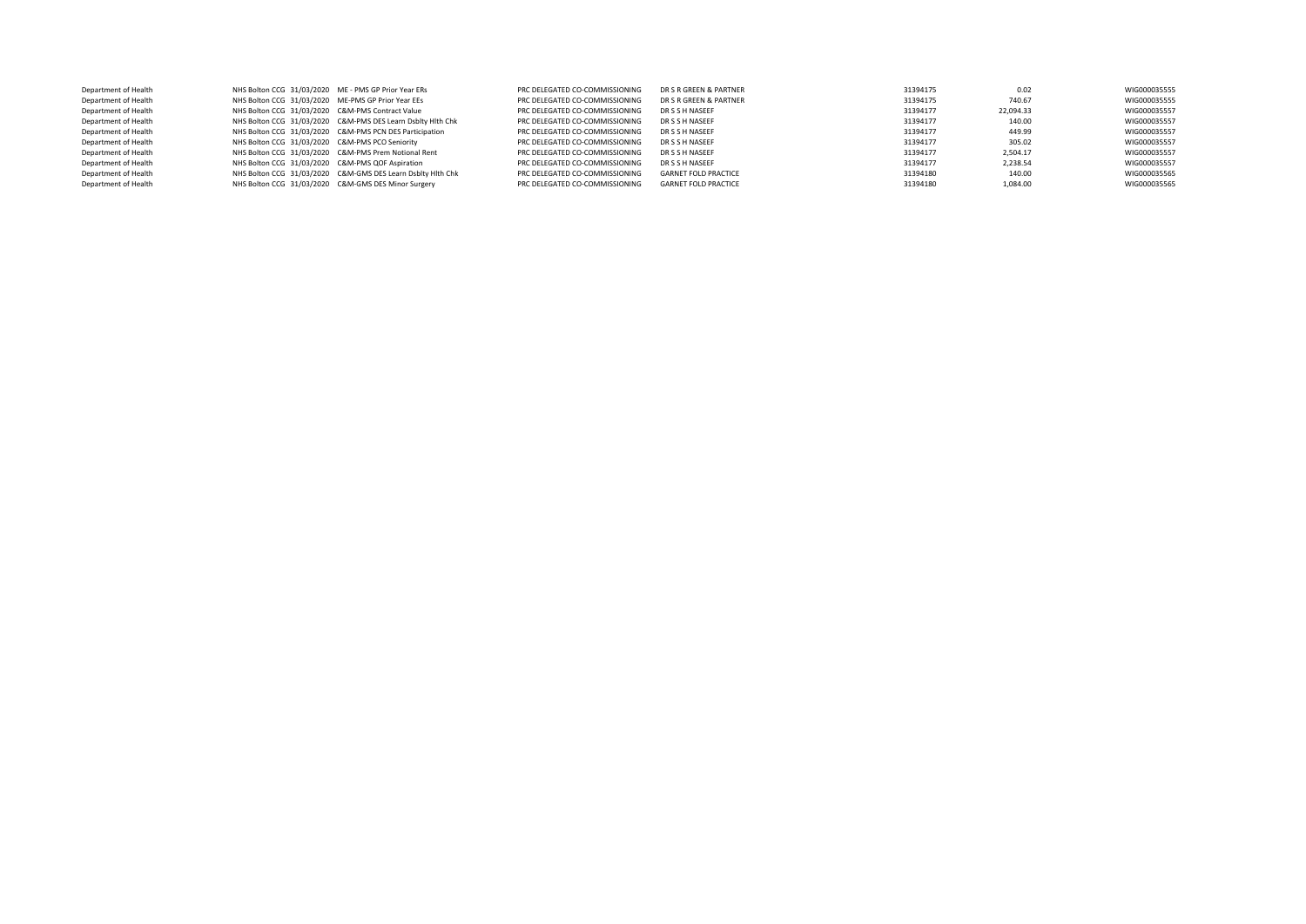| Department of Health | NHS Bolton CCG 31/03/2020 ME - PMS GP Prior Year ERs |                                                             | PRC DELEGATED CO-COMMISSIONING | DR S R GREEN & PARTNER      | 31394175 | 0.02      | WIG000035555 |
|----------------------|------------------------------------------------------|-------------------------------------------------------------|--------------------------------|-----------------------------|----------|-----------|--------------|
| Department of Health | NHS Bolton CCG 31/03/2020 ME-PMS GP Prior Year EEs   |                                                             | PRC DELEGATED CO-COMMISSIONING | DR S R GREEN & PARTNER      | 31394175 | 740.67    | WIG000035555 |
| Department of Health | NHS Bolton CCG 31/03/2020 C&M-PMS Contract Value     |                                                             | PRC DELEGATED CO-COMMISSIONING | DR S S H NASEEF             | 31394177 | 22.094.33 | WIG000035557 |
| Department of Health |                                                      | NHS Bolton CCG 31/03/2020 C&M-PMS DES Learn Dsblty Hith Chk | PRC DELEGATED CO-COMMISSIONING | DR S S H NASEEF             | 31394177 | 140.00    | WIG000035557 |
| Department of Health |                                                      | NHS Bolton CCG 31/03/2020 C&M-PMS PCN DES Participation     | PRC DELEGATED CO-COMMISSIONING | DR S S H NASEEF             | 31394177 | 449.99    | WIG000035557 |
| Department of Health | NHS Bolton CCG 31/03/2020 C&M-PMS PCO Seniority      |                                                             | PRC DELEGATED CO-COMMISSIONING | DR S S H NASEEF             | 31394177 | 305.02    | WIG000035557 |
| Department of Health |                                                      | NHS Bolton CCG 31/03/2020 C&M-PMS Prem Notional Rent        | PRC DELEGATED CO-COMMISSIONING | DR S S H NASEEF             | 31394177 | 2.504.17  | WIG000035557 |
| Department of Health | NHS Bolton CCG 31/03/2020 C&M-PMS QOF Aspiration     |                                                             | PRC DELEGATED CO-COMMISSIONING | DR S S H NASEEF             | 31394177 | 2.238.54  | WIG000035557 |
| Department of Health |                                                      | NHS Bolton CCG 31/03/2020 C&M-GMS DES Learn Dsbltv Hlth Chk | PRC DELEGATED CO-COMMISSIONING | <b>GARNET FOLD PRACTICE</b> | 31394180 | 140.00    | WIG000035565 |
| Department of Health |                                                      | NHS Bolton CCG 31/03/2020 C&M-GMS DES Minor Surgery         | PRC DELEGATED CO-COMMISSIONING | <b>GARNET FOLD PRACTICE</b> | 31394180 | 1.084.00  | WIG000035565 |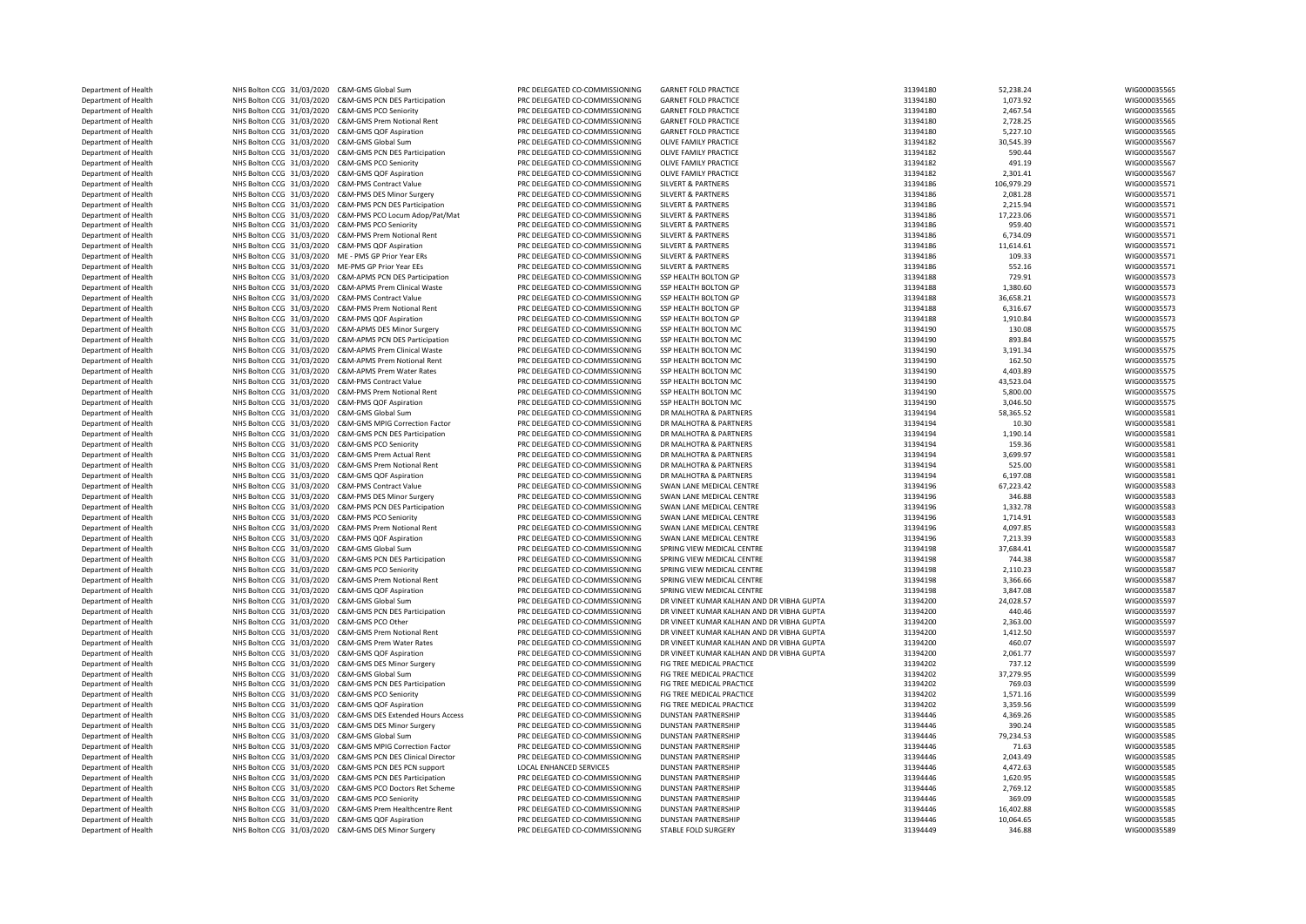| Department of Health | NHS Bolton CCG 31/03/2020 C&M-GMS Global Sum         |                                                             | PRC DELEGATED CO-COMMISSIONING | <b>GARNET FOLD PRACTICE</b>               | 31394180 | 52,238.24  | WIG000035565 |
|----------------------|------------------------------------------------------|-------------------------------------------------------------|--------------------------------|-------------------------------------------|----------|------------|--------------|
| Department of Health |                                                      | NHS Bolton CCG 31/03/2020 C&M-GMS PCN DES Participation     | PRC DELEGATED CO-COMMISSIONING | <b>GARNET FOLD PRACTICE</b>               | 31394180 | 1,073.92   | WIG000035565 |
| Department of Health | NHS Bolton CCG 31/03/2020 C&M-GMS PCO Seniority      |                                                             | PRC DELEGATED CO-COMMISSIONING | <b>GARNET FOLD PRACTICE</b>               | 31394180 | 2,467.54   | WIG000035565 |
|                      |                                                      |                                                             |                                |                                           |          |            |              |
| Department of Health |                                                      | NHS Bolton CCG 31/03/2020 C&M-GMS Prem Notional Rent        | PRC DELEGATED CO-COMMISSIONING | <b>GARNET FOLD PRACTICE</b>               | 31394180 | 2,728.25   | WIG000035565 |
| Department of Health | NHS Bolton CCG 31/03/2020 C&M-GMS QOF Aspiration     |                                                             | PRC DELEGATED CO-COMMISSIONING | <b>GARNET FOLD PRACTICE</b>               | 31394180 | 5,227.10   | WIG000035565 |
| Department of Health | NHS Bolton CCG 31/03/2020 C&M-GMS Global Sum         |                                                             | PRC DELEGATED CO-COMMISSIONING | OLIVE FAMILY PRACTICE                     | 31394182 | 30,545.39  | WIG000035567 |
| Department of Health |                                                      | NHS Bolton CCG 31/03/2020 C&M-GMS PCN DES Participation     | PRC DELEGATED CO-COMMISSIONING | OLIVE FAMILY PRACTICE                     | 31394182 | 590.44     | WIG000035567 |
| Department of Health | NHS Bolton CCG 31/03/2020 C&M-GMS PCO Seniority      |                                                             | PRC DELEGATED CO-COMMISSIONING | OLIVE FAMILY PRACTICE                     | 31394182 | 491.19     | WIG000035567 |
| Department of Health | NHS Bolton CCG 31/03/2020 C&M-GMS QOF Aspiration     |                                                             | PRC DELEGATED CO-COMMISSIONING | OLIVE FAMILY PRACTICE                     | 31394182 | 2,301.41   | WIG000035567 |
|                      |                                                      |                                                             |                                |                                           |          |            |              |
| Department of Health | NHS Bolton CCG 31/03/2020 C&M-PMS Contract Value     |                                                             | PRC DELEGATED CO-COMMISSIONING | <b>SILVERT &amp; PARTNERS</b>             | 31394186 | 106,979.29 | WIG000035571 |
| Department of Health | NHS Bolton CCG 31/03/2020 C&M-PMS DES Minor Surgery  |                                                             | PRC DELEGATED CO-COMMISSIONING | <b>SILVERT &amp; PARTNERS</b>             | 31394186 | 2.081.28   | WIG000035571 |
| Department of Health |                                                      | NHS Bolton CCG 31/03/2020 C&M-PMS PCN DES Participation     | PRC DELEGATED CO-COMMISSIONING | <b>SILVERT &amp; PARTNERS</b>             | 31394186 | 2,215.94   | WIG000035571 |
| Department of Health |                                                      | NHS Bolton CCG 31/03/2020 C&M-PMS PCO Locum Adop/Pat/Mat    | PRC DELEGATED CO-COMMISSIONING | <b>SILVERT &amp; PARTNERS</b>             | 31394186 | 17,223.06  | WIG000035571 |
| Department of Health | NHS Bolton CCG 31/03/2020 C&M-PMS PCO Seniority      |                                                             | PRC DELEGATED CO-COMMISSIONING | <b>SILVERT &amp; PARTNERS</b>             | 31394186 | 959.40     | WIG000035571 |
|                      |                                                      |                                                             |                                | <b>SILVERT &amp; PARTNERS</b>             |          |            |              |
| Department of Health |                                                      | NHS Bolton CCG 31/03/2020 C&M-PMS Prem Notional Rent        | PRC DELEGATED CO-COMMISSIONING |                                           | 31394186 | 6,734.09   | WIG000035571 |
| Department of Health | NHS Bolton CCG 31/03/2020 C&M-PMS QOF Aspiration     |                                                             | PRC DELEGATED CO-COMMISSIONING | <b>SILVERT &amp; PARTNERS</b>             | 31394186 | 11,614.61  | WIG000035571 |
| Department of Health | NHS Bolton CCG 31/03/2020 ME - PMS GP Prior Year ERs |                                                             | PRC DELEGATED CO-COMMISSIONING | <b>SILVERT &amp; PARTNERS</b>             | 31394186 | 109.33     | WIG000035571 |
| Department of Health | NHS Bolton CCG 31/03/2020 ME-PMS GP Prior Year EEs   |                                                             | PRC DELEGATED CO-COMMISSIONING | <b>SILVERT &amp; PARTNERS</b>             | 31394186 | 552.16     | WIG000035571 |
| Department of Health |                                                      | NHS Bolton CCG 31/03/2020 C&M-APMS PCN DES Participation    | PRC DELEGATED CO-COMMISSIONING | SSP HEALTH BOLTON GP                      | 31394188 | 729.91     | WIG000035573 |
| Department of Health |                                                      | NHS Bolton CCG 31/03/2020 C&M-APMS Prem Clinical Waste      | PRC DELEGATED CO-COMMISSIONING | SSP HEALTH BOLTON GP                      | 31394188 | 1,380.60   | WIG000035573 |
|                      |                                                      |                                                             |                                |                                           |          |            |              |
| Department of Health | NHS Bolton CCG 31/03/2020 C&M-PMS Contract Value     |                                                             | PRC DELEGATED CO-COMMISSIONING | SSP HEALTH BOLTON GP                      | 31394188 | 36,658.21  | WIG000035573 |
| Department of Health |                                                      | NHS Bolton CCG 31/03/2020 C&M-PMS Prem Notional Rent        | PRC DELEGATED CO-COMMISSIONING | SSP HEALTH BOLTON GP                      | 31394188 | 6,316.67   | WIG000035573 |
| Department of Health | NHS Bolton CCG 31/03/2020 C&M-PMS QOF Aspiration     |                                                             | PRC DELEGATED CO-COMMISSIONING | SSP HEALTH BOLTON GP                      | 31394188 | 1,910.84   | WIG000035573 |
| Department of Health |                                                      | NHS Bolton CCG 31/03/2020 C&M-APMS DES Minor Surgery        | PRC DELEGATED CO-COMMISSIONING | SSP HEALTH BOLTON MC                      | 31394190 | 130.08     | WIG000035575 |
| Department of Health |                                                      | NHS Bolton CCG 31/03/2020 C&M-APMS PCN DES Participation    | PRC DELEGATED CO-COMMISSIONING | SSP HEALTH BOLTON MC                      | 31394190 | 893.84     | WIG000035575 |
| Department of Health |                                                      | NHS Bolton CCG 31/03/2020 C&M-APMS Prem Clinical Waste      | PRC DELEGATED CO-COMMISSIONING | SSP HEALTH BOLTON MC                      | 31394190 | 3,191.34   | WIG000035575 |
|                      |                                                      |                                                             |                                |                                           |          |            |              |
| Department of Health |                                                      | NHS Bolton CCG 31/03/2020 C&M-APMS Prem Notional Rent       | PRC DELEGATED CO-COMMISSIONING | SSP HEALTH BOLTON MC                      | 31394190 | 162.50     | WIG000035575 |
| Department of Health |                                                      | NHS Bolton CCG 31/03/2020 C&M-APMS Prem Water Rates         | PRC DELEGATED CO-COMMISSIONING | SSP HEALTH BOLTON MC                      | 31394190 | 4,403.89   | WIG000035575 |
| Department of Health | NHS Bolton CCG 31/03/2020 C&M-PMS Contract Value     |                                                             | PRC DELEGATED CO-COMMISSIONING | SSP HEALTH BOLTON MC                      | 31394190 | 43,523.04  | WIG000035575 |
| Department of Health |                                                      | NHS Bolton CCG 31/03/2020 C&M-PMS Prem Notional Rent        | PRC DELEGATED CO-COMMISSIONING | SSP HEALTH BOLTON MC                      | 31394190 | 5,800.00   | WIG000035575 |
| Department of Health | NHS Bolton CCG 31/03/2020 C&M-PMS QOF Aspiration     |                                                             | PRC DELEGATED CO-COMMISSIONING | SSP HEALTH BOLTON MC                      | 31394190 | 3,046.50   | WIG000035575 |
|                      |                                                      |                                                             |                                |                                           |          |            |              |
| Department of Health | NHS Bolton CCG 31/03/2020 C&M-GMS Global Sum         |                                                             | PRC DELEGATED CO-COMMISSIONING | DR MALHOTRA & PARTNERS                    | 31394194 | 58,365.52  | WIG000035581 |
| Department of Health |                                                      | NHS Bolton CCG 31/03/2020 C&M-GMS MPIG Correction Factor    | PRC DELEGATED CO-COMMISSIONING | DR MALHOTRA & PARTNERS                    | 31394194 | 10.30      | WIG000035581 |
| Department of Health |                                                      | NHS Bolton CCG 31/03/2020 C&M-GMS PCN DES Participation     | PRC DELEGATED CO-COMMISSIONING | DR MALHOTRA & PARTNERS                    | 31394194 | 1,190.14   | WIG000035581 |
| Department of Health | NHS Bolton CCG 31/03/2020 C&M-GMS PCO Seniority      |                                                             | PRC DELEGATED CO-COMMISSIONING | DR MALHOTRA & PARTNERS                    | 31394194 | 159.36     | WIG000035581 |
| Department of Health | NHS Bolton CCG 31/03/2020 C&M-GMS Prem Actual Rent   |                                                             | PRC DELEGATED CO-COMMISSIONING | DR MALHOTRA & PARTNERS                    | 31394194 | 3,699.97   | WIG000035581 |
|                      |                                                      |                                                             |                                | DR MALHOTRA & PARTNERS                    |          |            |              |
| Department of Health |                                                      | NHS Bolton CCG 31/03/2020 C&M-GMS Prem Notional Rent        | PRC DELEGATED CO-COMMISSIONING |                                           | 31394194 | 525.00     | WIG000035581 |
| Department of Health | NHS Bolton CCG 31/03/2020 C&M-GMS QOF Aspiration     |                                                             | PRC DELEGATED CO-COMMISSIONING | DR MALHOTRA & PARTNERS                    | 31394194 | 6,197.08   | WIG000035581 |
| Department of Health | NHS Bolton CCG 31/03/2020 C&M-PMS Contract Value     |                                                             | PRC DELEGATED CO-COMMISSIONING | SWAN LANE MEDICAL CENTRE                  | 31394196 | 67,223.42  | WIG000035583 |
| Department of Health |                                                      | NHS Bolton CCG 31/03/2020 C&M-PMS DES Minor Surgery         | PRC DELEGATED CO-COMMISSIONING | SWAN LANE MEDICAL CENTRE                  | 31394196 | 346.88     | WIG000035583 |
| Department of Health |                                                      | NHS Bolton CCG 31/03/2020 C&M-PMS PCN DES Participation     | PRC DELEGATED CO-COMMISSIONING | SWAN LANE MEDICAL CENTRE                  | 31394196 | 1,332.78   | WIG000035583 |
| Department of Health | NHS Bolton CCG 31/03/2020 C&M-PMS PCO Seniority      |                                                             | PRC DELEGATED CO-COMMISSIONING | SWAN LANE MEDICAL CENTRE                  | 31394196 | 1,714.91   | WIG000035583 |
|                      |                                                      |                                                             |                                |                                           |          |            |              |
| Department of Health |                                                      | NHS Bolton CCG 31/03/2020 C&M-PMS Prem Notional Rent        | PRC DELEGATED CO-COMMISSIONING | SWAN LANE MEDICAL CENTRE                  | 31394196 | 4,097.85   | WIG000035583 |
| Department of Health | NHS Bolton CCG 31/03/2020 C&M-PMS QOF Aspiration     |                                                             | PRC DELEGATED CO-COMMISSIONING | SWAN LANE MEDICAL CENTRE                  | 31394196 | 7,213.39   | WIG000035583 |
| Department of Health | NHS Bolton CCG 31/03/2020 C&M-GMS Global Sum         |                                                             | PRC DELEGATED CO-COMMISSIONING | SPRING VIEW MEDICAL CENTRE                | 31394198 | 37,684.41  | WIG000035587 |
| Department of Health |                                                      | NHS Bolton CCG 31/03/2020 C&M-GMS PCN DES Participation     | PRC DELEGATED CO-COMMISSIONING | SPRING VIEW MEDICAL CENTRE                | 31394198 | 744.38     | WIG000035587 |
| Department of Health | NHS Bolton CCG 31/03/2020 C&M-GMS PCO Seniority      |                                                             | PRC DELEGATED CO-COMMISSIONING | SPRING VIEW MEDICAL CENTRE                | 31394198 | 2,110.23   | WIG000035587 |
|                      |                                                      |                                                             |                                |                                           |          |            |              |
| Department of Health |                                                      | NHS Bolton CCG 31/03/2020 C&M-GMS Prem Notional Rent        | PRC DELEGATED CO-COMMISSIONING | SPRING VIEW MEDICAL CENTRE                | 31394198 | 3,366.66   | WIG000035587 |
| Department of Health | NHS Bolton CCG 31/03/2020 C&M-GMS QOF Aspiration     |                                                             | PRC DELEGATED CO-COMMISSIONING | SPRING VIEW MEDICAL CENTRE                | 31394198 | 3,847.08   | WIG000035587 |
| Department of Health | NHS Bolton CCG 31/03/2020 C&M-GMS Global Sum         |                                                             | PRC DELEGATED CO-COMMISSIONING | DR VINEET KUMAR KALHAN AND DR VIBHA GUPTA | 31394200 | 24,028.57  | WIG000035597 |
| Department of Health |                                                      | NHS Bolton CCG 31/03/2020 C&M-GMS PCN DES Participation     | PRC DELEGATED CO-COMMISSIONING | DR VINEET KUMAR KALHAN AND DR VIBHA GUPTA | 31394200 | 440.46     | WIG000035597 |
| Department of Health | NHS Bolton CCG 31/03/2020 C&M-GMS PCO Other          |                                                             | PRC DELEGATED CO-COMMISSIONING | DR VINEET KUMAR KALHAN AND DR VIBHA GUPTA | 31394200 | 2,363.00   | WIG000035597 |
| Department of Health |                                                      | NHS Bolton CCG 31/03/2020 C&M-GMS Prem Notional Rent        | PRC DELEGATED CO-COMMISSIONING | DR VINEET KUMAR KALHAN AND DR VIBHA GUPTA | 31394200 | 1,412.50   | WIG000035597 |
|                      |                                                      |                                                             |                                |                                           |          |            |              |
| Department of Health | NHS Bolton CCG 31/03/2020 C&M-GMS Prem Water Rates   |                                                             | PRC DELEGATED CO-COMMISSIONING | DR VINEET KUMAR KALHAN AND DR VIBHA GUPTA | 31394200 | 460.07     | WIG000035597 |
| Department of Health | NHS Bolton CCG 31/03/2020 C&M-GMS QOF Aspiration     |                                                             | PRC DELEGATED CO-COMMISSIONING | DR VINEET KUMAR KALHAN AND DR VIBHA GUPTA | 31394200 | 2,061.77   | WIG000035597 |
| Department of Health |                                                      | NHS Bolton CCG 31/03/2020 C&M-GMS DES Minor Surgery         | PRC DELEGATED CO-COMMISSIONING | FIG TREE MEDICAL PRACTICE                 | 31394202 | 737.12     | WIG000035599 |
| Department of Health | NHS Bolton CCG 31/03/2020 C&M-GMS Global Sum         |                                                             | PRC DELEGATED CO-COMMISSIONING | FIG TREE MEDICAL PRACTICE                 | 31394202 | 37,279.95  | WIG000035599 |
| Department of Health |                                                      | NHS Bolton CCG 31/03/2020 C&M-GMS PCN DES Participation     | PRC DELEGATED CO-COMMISSIONING | FIG TREE MEDICAL PRACTICE                 | 31394202 | 769.03     | WIG000035599 |
|                      |                                                      |                                                             | PRC DELEGATED CO-COMMISSIONING | FIG TREE MEDICAL PRACTICE                 | 31394202 | 1,571.16   | WIG000035599 |
| Department of Health | NHS Bolton CCG 31/03/2020 C&M-GMS PCO Seniority      |                                                             |                                |                                           |          |            |              |
| Department of Health | NHS Bolton CCG 31/03/2020 C&M-GMS QOF Aspiration     |                                                             | PRC DELEGATED CO-COMMISSIONING | FIG TREE MEDICAL PRACTICE                 | 31394202 | 3,359.56   | WIG000035599 |
| Department of Health |                                                      | NHS Bolton CCG 31/03/2020 C&M-GMS DES Extended Hours Access | PRC DELEGATED CO-COMMISSIONING | <b>DUNSTAN PARTNERSHIP</b>                | 31394446 | 4,369.26   | WIG000035585 |
| Department of Health |                                                      | NHS Bolton CCG 31/03/2020 C&M-GMS DES Minor Surgery         | PRC DELEGATED CO-COMMISSIONING | <b>DUNSTAN PARTNERSHIP</b>                | 31394446 | 390.24     | WIG000035585 |
| Department of Health | NHS Bolton CCG 31/03/2020 C&M-GMS Global Sum         |                                                             | PRC DELEGATED CO-COMMISSIONING | DUNSTAN PARTNERSHIP                       | 31394446 | 79,234.53  | WIG000035585 |
|                      |                                                      |                                                             |                                | DUNSTAN PARTNERSHIP                       |          |            |              |
| Department of Health |                                                      | NHS Bolton CCG 31/03/2020 C&M-GMS MPIG Correction Factor    | PRC DELEGATED CO-COMMISSIONING |                                           | 31394446 | 71.63      | WIG000035585 |
| Department of Health |                                                      | NHS Bolton CCG 31/03/2020 C&M-GMS PCN DES Clinical Director | PRC DELEGATED CO-COMMISSIONING | <b>DUNSTAN PARTNERSHIP</b>                | 31394446 | 2,043.49   | WIG000035585 |
| Department of Health |                                                      | NHS Bolton CCG 31/03/2020 C&M-GMS PCN DES PCN support       | LOCAL ENHANCED SERVICES        | <b>DUNSTAN PARTNERSHIP</b>                | 31394446 | 4,472.63   | WIG000035585 |
| Department of Health |                                                      | NHS Bolton CCG 31/03/2020 C&M-GMS PCN DES Participation     | PRC DELEGATED CO-COMMISSIONING | <b>DUNSTAN PARTNERSHIP</b>                | 31394446 | 1.620.95   | WIG000035585 |
| Department of Health |                                                      | NHS Bolton CCG 31/03/2020 C&M-GMS PCO Doctors Ret Scheme    | PRC DELEGATED CO-COMMISSIONING | <b>DUNSTAN PARTNERSHIP</b>                | 31394446 | 2,769.12   | WIG000035585 |
| Department of Health | NHS Bolton CCG 31/03/2020 C&M-GMS PCO Seniority      |                                                             | PRC DELEGATED CO-COMMISSIONING | <b>DUNSTAN PARTNERSHIP</b>                | 31394446 | 369.09     | WIG000035585 |
|                      |                                                      |                                                             |                                |                                           |          |            |              |
| Department of Health |                                                      | NHS Bolton CCG 31/03/2020 C&M-GMS Prem Healthcentre Rent    | PRC DELEGATED CO-COMMISSIONING | <b>DUNSTAN PARTNERSHIP</b>                | 31394446 | 16,402.88  | WIG000035585 |
| Department of Health | NHS Bolton CCG 31/03/2020 C&M-GMS QOF Aspiration     |                                                             | PRC DELEGATED CO-COMMISSIONING | <b>DUNSTAN PARTNERSHIP</b>                | 31394446 | 10,064.65  | WIG000035585 |
| Department of Health |                                                      | NHS Bolton CCG 31/03/2020 C&M-GMS DES Minor Surgery         | PRC DELEGATED CO-COMMISSIONING | <b>STABLE FOLD SURGERY</b>                | 31394449 | 346.88     | WIG000035589 |
|                      |                                                      |                                                             |                                |                                           |          |            |              |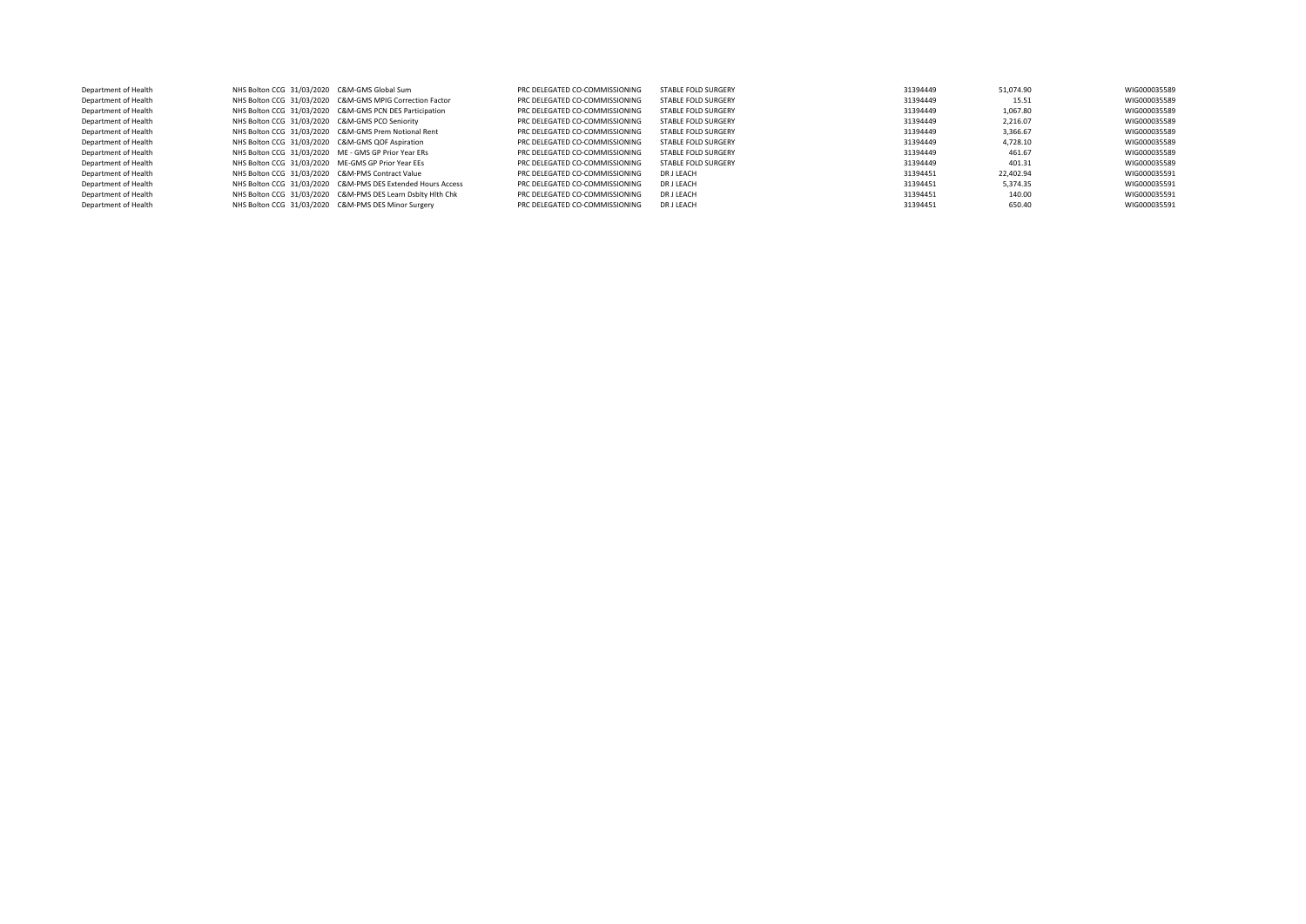| Department of Health | NHS Bolton CCG 31/03/2020 C&M-GMS Global Sum         |                                                             | PRC DELEGATED CO-COMMISSIONING | STABLE FOLD SURGERY | 31394449 | 51.074.90 | WIG000035589 |
|----------------------|------------------------------------------------------|-------------------------------------------------------------|--------------------------------|---------------------|----------|-----------|--------------|
| Department of Health |                                                      | NHS Bolton CCG 31/03/2020 C&M-GMS MPIG Correction Factor    | PRC DELEGATED CO-COMMISSIONING | STABLE FOLD SURGERY | 31394449 | 15.51     | WIG000035589 |
| Department of Health |                                                      | NHS Bolton CCG 31/03/2020 C&M-GMS PCN DES Participation     | PRC DELEGATED CO-COMMISSIONING | STABLE FOLD SURGERY | 31394449 | 1.067.80  | WIG000035589 |
| Department of Health | NHS Bolton CCG 31/03/2020 C&M-GMS PCO Seniority      |                                                             | PRC DELEGATED CO-COMMISSIONING | STABLE FOLD SURGERY | 31394449 | 2.216.07  | WIG000035589 |
| Department of Health |                                                      | NHS Bolton CCG 31/03/2020 C&M-GMS Prem Notional Rent        | PRC DELEGATED CO-COMMISSIONING | STABLE FOLD SURGERY | 31394449 | 3.366.67  | WIG000035589 |
| Department of Health | NHS Bolton CCG 31/03/2020 C&M-GMS QOF Aspiration     |                                                             | PRC DELEGATED CO-COMMISSIONING | STABLE FOLD SURGERY | 31394449 | 4.728.10  | WIG000035589 |
| Department of Health | NHS Bolton CCG 31/03/2020 ME - GMS GP Prior Year ERs |                                                             | PRC DELEGATED CO-COMMISSIONING | STABLE FOLD SURGERY | 31394449 | 461.67    | WIG000035589 |
| Department of Health | NHS Bolton CCG 31/03/2020 ME-GMS GP Prior Year EEs   |                                                             | PRC DELEGATED CO-COMMISSIONING | STABLE FOLD SURGERY | 31394449 | 401.31    | WIG000035589 |
| Department of Health | NHS Bolton CCG 31/03/2020 C&M-PMS Contract Value     |                                                             | PRC DELEGATED CO-COMMISSIONING | DR J LEACH          | 31394451 | 22.402.94 | WIG000035591 |
| Department of Health |                                                      | NHS Bolton CCG 31/03/2020 C&M-PMS DES Extended Hours Access | PRC DELEGATED CO-COMMISSIONING | <b>DRJ LEACH</b>    | 31394451 | 5.374.35  | WIG000035591 |
| Department of Health |                                                      | NHS Bolton CCG 31/03/2020 C&M-PMS DES Learn Dsbltv Hith Chk | PRC DELEGATED CO-COMMISSIONING | <b>DRJ LEACH</b>    | 31394451 | 140.00    | WIG000035591 |
| Department of Health |                                                      | NHS Bolton CCG 31/03/2020 C&M-PMS DES Minor Surgery         | PRC DELEGATED CO-COMMISSIONING | <b>DRJ LEACH</b>    | 31394451 | 650.40    | WIG000035591 |
|                      |                                                      |                                                             |                                |                     |          |           |              |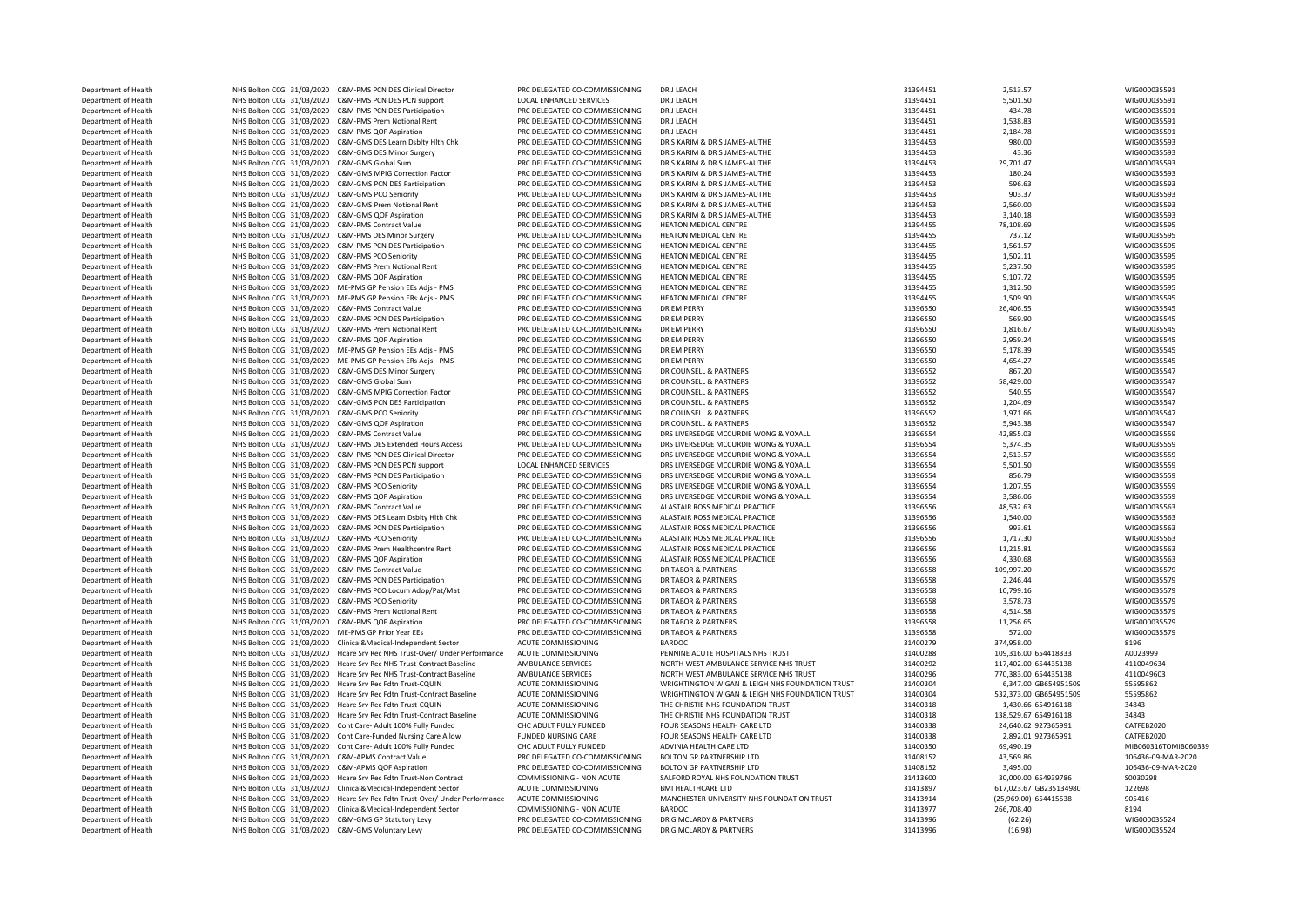| Department of Health |                                                     | NHS Bolton CCG 31/03/2020 C&M-PMS PCN DES Clinical Director                | PRC DELEGATED CO-COMMISSIONING | DR J LEACH                                      | 31394451 | 2,513.57               | WIG000035591         |
|----------------------|-----------------------------------------------------|----------------------------------------------------------------------------|--------------------------------|-------------------------------------------------|----------|------------------------|----------------------|
| Department of Health |                                                     | NHS Bolton CCG 31/03/2020 C&M-PMS PCN DES PCN support                      | LOCAL ENHANCED SERVICES        | DR J LEACH                                      | 31394451 | 5,501.50               | WIG000035591         |
| Department of Health |                                                     | NHS Bolton CCG 31/03/2020 C&M-PMS PCN DES Participation                    | PRC DELEGATED CO-COMMISSIONING | DR J LEACH                                      | 31394451 | 434.78                 | WIG000035591         |
| Department of Health |                                                     | NHS Bolton CCG 31/03/2020 C&M-PMS Prem Notional Rent                       | PRC DELEGATED CO-COMMISSIONING | DR J LEACH                                      | 31394451 | 1,538.83               | WIG000035591         |
| Department of Health | NHS Bolton CCG 31/03/2020 C&M-PMS QOF Aspiration    |                                                                            | PRC DELEGATED CO-COMMISSIONING | DR J LEACH                                      | 31394451 | 2,184.78               | WIG000035591         |
| Department of Health |                                                     | NHS Bolton CCG 31/03/2020 C&M-GMS DES Learn Dsblty Hlth Chk                | PRC DELEGATED CO-COMMISSIONING | DR S KARIM & DR S JAMES-AUTHE                   | 31394453 | 980.00                 | WIG000035593         |
| Department of Health |                                                     | NHS Bolton CCG 31/03/2020 C&M-GMS DES Minor Surgery                        | PRC DELEGATED CO-COMMISSIONING | DR S KARIM & DR S JAMES-AUTHE                   | 31394453 | 43.36                  | WIG000035593         |
| Department of Health | NHS Bolton CCG 31/03/2020 C&M-GMS Global Sum        |                                                                            | PRC DELEGATED CO-COMMISSIONING | DR S KARIM & DR S JAMES-AUTHE                   | 31394453 | 29,701.47              | WIG000035593         |
| Department of Health |                                                     | NHS Bolton CCG 31/03/2020 C&M-GMS MPIG Correction Factor                   | PRC DELEGATED CO-COMMISSIONING | DR S KARIM & DR S JAMES-AUTHE                   | 31394453 | 180.24                 | WIG000035593         |
| Department of Health |                                                     | NHS Bolton CCG 31/03/2020 C&M-GMS PCN DES Participation                    | PRC DELEGATED CO-COMMISSIONING | DR S KARIM & DR S JAMES-AUTHE                   | 31394453 | 596.63                 | WIG000035593         |
|                      |                                                     |                                                                            |                                |                                                 |          |                        |                      |
| Department of Health | NHS Bolton CCG 31/03/2020 C&M-GMS PCO Seniority     |                                                                            | PRC DELEGATED CO-COMMISSIONING | DR S KARIM & DR S JAMES-AUTHE                   | 31394453 | 903.37                 | WIG000035593         |
| Department of Health |                                                     | NHS Bolton CCG 31/03/2020 C&M-GMS Prem Notional Rent                       | PRC DELEGATED CO-COMMISSIONING | DR S KARIM & DR S JAMES-AUTHE                   | 31394453 | 2,560.00               | WIG000035593         |
| Department of Health | NHS Bolton CCG 31/03/2020 C&M-GMS QOF Aspiration    |                                                                            | PRC DELEGATED CO-COMMISSIONING | DR S KARIM & DR S JAMES-AUTHE                   | 31394453 | 3,140.18               | WIG000035593         |
| Department of Health | NHS Bolton CCG 31/03/2020 C&M-PMS Contract Value    |                                                                            | PRC DELEGATED CO-COMMISSIONING | HEATON MEDICAL CENTRE                           | 31394455 | 78,108.69              | WIG000035595         |
| Department of Health | NHS Bolton CCG 31/03/2020 C&M-PMS DES Minor Surgery |                                                                            | PRC DELEGATED CO-COMMISSIONING | HEATON MEDICAL CENTRE                           | 31394455 | 737.12                 | WIG000035595         |
| Department of Health |                                                     | NHS Bolton CCG 31/03/2020 C&M-PMS PCN DES Participation                    | PRC DELEGATED CO-COMMISSIONING | HEATON MEDICAL CENTRE                           | 31394455 | 1,561.57               | WIG000035595         |
| Department of Health | NHS Bolton CCG 31/03/2020 C&M-PMS PCO Seniority     |                                                                            | PRC DELEGATED CO-COMMISSIONING | HEATON MEDICAL CENTRE                           | 31394455 | 1,502.11               | WIG000035595         |
| Department of Health |                                                     | NHS Bolton CCG 31/03/2020 C&M-PMS Prem Notional Rent                       | PRC DELEGATED CO-COMMISSIONING | <b>HEATON MEDICAL CENTRE</b>                    | 31394455 | 5,237.50               | WIG000035595         |
| Department of Health | NHS Bolton CCG 31/03/2020 C&M-PMS QOF Aspiration    |                                                                            | PRC DELEGATED CO-COMMISSIONING | HEATON MEDICAL CENTRE                           | 31394455 | 9,107.72               | WIG000035595         |
| Department of Health |                                                     | NHS Bolton CCG 31/03/2020 ME-PMS GP Pension EEs Adjs - PMS                 | PRC DELEGATED CO-COMMISSIONING | HEATON MEDICAL CENTRE                           | 31394455 | 1,312.50               | WIG000035595         |
| Department of Health |                                                     | NHS Bolton CCG 31/03/2020 ME-PMS GP Pension ERs Adis - PMS                 | PRC DELEGATED CO-COMMISSIONING | HEATON MEDICAL CENTRE                           | 31394455 | 1.509.90               | WIG000035595         |
|                      |                                                     |                                                                            |                                |                                                 |          |                        |                      |
| Department of Health | NHS Bolton CCG 31/03/2020 C&M-PMS Contract Value    |                                                                            | PRC DELEGATED CO-COMMISSIONING | DR EM PERRY                                     | 31396550 | 26,406.55              | WIG000035545         |
| Department of Health |                                                     | NHS Bolton CCG 31/03/2020 C&M-PMS PCN DES Participation                    | PRC DELEGATED CO-COMMISSIONING | <b>DR EM PERRY</b>                              | 31396550 | 569.90                 | WIG000035545         |
| Department of Health |                                                     | NHS Bolton CCG 31/03/2020 C&M-PMS Prem Notional Rent                       | PRC DELEGATED CO-COMMISSIONING | DR EM PERRY                                     | 31396550 | 1,816.67               | WIG000035545         |
| Department of Health | NHS Bolton CCG 31/03/2020 C&M-PMS QOF Aspiration    |                                                                            | PRC DELEGATED CO-COMMISSIONING | DR FM PFRRY                                     | 31396550 | 2,959.24               | WIG000035545         |
| Department of Health |                                                     | NHS Bolton CCG 31/03/2020 ME-PMS GP Pension EEs Adjs - PMS                 | PRC DELEGATED CO-COMMISSIONING | <b>DR EM PERRY</b>                              | 31396550 | 5,178.39               | WIG000035545         |
| Department of Health |                                                     | NHS Bolton CCG 31/03/2020 ME-PMS GP Pension ERs Adjs - PMS                 | PRC DELEGATED CO-COMMISSIONING | DR EM PERRY                                     | 31396550 | 4,654.27               | WIG000035545         |
| Department of Health |                                                     | NHS Bolton CCG 31/03/2020 C&M-GMS DES Minor Surgery                        | PRC DELEGATED CO-COMMISSIONING | DR COUNSELL & PARTNERS                          | 31396552 | 867.20                 | WIG000035547         |
| Department of Health | NHS Bolton CCG 31/03/2020 C&M-GMS Global Sum        |                                                                            | PRC DELEGATED CO-COMMISSIONING | DR COUNSELL & PARTNERS                          | 31396552 | 58,429.00              | WIG000035547         |
| Department of Health |                                                     | NHS Bolton CCG 31/03/2020 C&M-GMS MPIG Correction Factor                   | PRC DELEGATED CO-COMMISSIONING | DR COUNSELL & PARTNERS                          | 31396552 | 540.55                 | WIG000035547         |
| Department of Health |                                                     | NHS Bolton CCG 31/03/2020 C&M-GMS PCN DES Participation                    | PRC DELEGATED CO-COMMISSIONING | DR COUNSELL & PARTNERS                          | 31396552 | 1,204.69               | WIG000035547         |
|                      |                                                     |                                                                            |                                |                                                 |          |                        |                      |
| Department of Health | NHS Bolton CCG 31/03/2020 C&M-GMS PCO Seniority     |                                                                            | PRC DELEGATED CO-COMMISSIONING | DR COUNSELL & PARTNERS                          | 31396552 | 1,971.66               | WIG000035547         |
| Department of Health | NHS Bolton CCG 31/03/2020 C&M-GMS QOF Aspiration    |                                                                            | PRC DELEGATED CO-COMMISSIONING | DR COUNSELL & PARTNERS                          | 31396552 | 5,943.38               | WIG000035547         |
| Department of Health | NHS Bolton CCG 31/03/2020 C&M-PMS Contract Value    |                                                                            | PRC DELEGATED CO-COMMISSIONING | DRS LIVERSEDGE MCCURDIE WONG & YOXALL           | 31396554 | 42,855.03              | WIG000035559         |
| Department of Health |                                                     | NHS Bolton CCG 31/03/2020 C&M-PMS DES Extended Hours Access                | PRC DELEGATED CO-COMMISSIONING | DRS LIVERSEDGE MCCURDIE WONG & YOXALL           | 31396554 | 5,374.35               | WIG000035559         |
| Department of Health |                                                     | NHS Bolton CCG 31/03/2020 C&M-PMS PCN DES Clinical Director                | PRC DELEGATED CO-COMMISSIONING | DRS LIVERSEDGE MCCURDIE WONG & YOXALL           | 31396554 | 2,513.57               | WIG000035559         |
| Department of Health |                                                     | NHS Bolton CCG 31/03/2020 C&M-PMS PCN DES PCN support                      | LOCAL ENHANCED SERVICES        | DRS LIVERSEDGE MCCURDIE WONG & YOXALL           | 31396554 | 5,501.50               | WIG000035559         |
| Department of Health |                                                     | NHS Bolton CCG 31/03/2020 C&M-PMS PCN DES Participation                    | PRC DELEGATED CO-COMMISSIONING | DRS LIVERSEDGE MCCURDIE WONG & YOXALL           | 31396554 | 856.79                 | WIG000035559         |
| Department of Health | NHS Bolton CCG 31/03/2020 C&M-PMS PCO Seniority     |                                                                            | PRC DELEGATED CO-COMMISSIONING | DRS LIVERSEDGE MCCURDIE WONG & YOXALL           | 31396554 | 1,207.55               | WIG000035559         |
| Department of Health | NHS Bolton CCG 31/03/2020 C&M-PMS QOF Aspiration    |                                                                            | PRC DELEGATED CO-COMMISSIONING | DRS LIVERSEDGE MCCURDIE WONG & YOXALL           | 31396554 | 3,586.06               | WIG000035559         |
| Department of Health | NHS Bolton CCG 31/03/2020 C&M-PMS Contract Value    |                                                                            | PRC DELEGATED CO-COMMISSIONING | ALASTAIR ROSS MEDICAL PRACTICE                  | 31396556 | 48,532.63              | WIG000035563         |
| Department of Health |                                                     | NHS Bolton CCG 31/03/2020 C&M-PMS DES Learn Dsblty Hlth Chk                | PRC DELEGATED CO-COMMISSIONING | ALASTAIR ROSS MEDICAL PRACTICE                  | 31396556 | 1,540.00               | WIG000035563         |
|                      |                                                     |                                                                            |                                |                                                 |          |                        |                      |
| Department of Health |                                                     | NHS Bolton CCG 31/03/2020 C&M-PMS PCN DES Participation                    | PRC DELEGATED CO-COMMISSIONING | ALASTAIR ROSS MEDICAL PRACTICE                  | 31396556 | 993.61                 | WIG000035563         |
| Department of Health | NHS Bolton CCG 31/03/2020 C&M-PMS PCO Seniority     |                                                                            | PRC DELEGATED CO-COMMISSIONING | ALASTAIR ROSS MEDICAL PRACTICE                  | 31396556 | 1,717.30               | WIG000035563         |
| Department of Health |                                                     | NHS Bolton CCG 31/03/2020 C&M-PMS Prem Healthcentre Rent                   | PRC DELEGATED CO-COMMISSIONING | ALASTAIR ROSS MEDICAL PRACTICE                  | 31396556 | 11,215.81              | WIG000035563         |
| Department of Health | NHS Bolton CCG 31/03/2020 C&M-PMS QOF Aspiration    |                                                                            | PRC DELEGATED CO-COMMISSIONING | ALASTAIR ROSS MEDICAL PRACTICE                  | 31396556 | 4,330.68               | WIG000035563         |
| Department of Health | NHS Bolton CCG 31/03/2020 C&M-PMS Contract Value    |                                                                            | PRC DELEGATED CO-COMMISSIONING | DR TABOR & PARTNERS                             | 31396558 | 109,997.20             | WIG000035579         |
| Department of Health |                                                     | NHS Bolton CCG 31/03/2020 C&M-PMS PCN DES Participation                    | PRC DELEGATED CO-COMMISSIONING | DR TABOR & PARTNERS                             | 31396558 | 2,246.44               | WIG000035579         |
| Department of Health |                                                     | NHS Bolton CCG 31/03/2020 C&M-PMS PCO Locum Adop/Pat/Mat                   | PRC DELEGATED CO-COMMISSIONING | DR TABOR & PARTNERS                             | 31396558 | 10,799.16              | WIG000035579         |
| Department of Health | NHS Bolton CCG 31/03/2020 C&M-PMS PCO Seniority     |                                                                            | PRC DELEGATED CO-COMMISSIONING | <b>DR TABOR &amp; PARTNERS</b>                  | 31396558 | 3,578.73               | WIG000035579         |
| Department of Health |                                                     | NHS Bolton CCG 31/03/2020 C&M-PMS Prem Notional Rent                       | PRC DELEGATED CO-COMMISSIONING | DR TABOR & PARTNERS                             | 31396558 | 4,514.58               | WIG000035579         |
| Department of Health | NHS Bolton CCG 31/03/2020 C&M-PMS QOF Aspiration    |                                                                            | PRC DELEGATED CO-COMMISSIONING | DR TABOR & PARTNERS                             | 31396558 | 11,256.65              | WIG000035579         |
|                      | NHS Bolton CCG 31/03/2020 ME-PMS GP Prior Year EEs  |                                                                            | PRC DELEGATED CO-COMMISSIONING | DR TABOR & PARTNERS                             | 31396558 | 572.00                 | WIG000035579         |
| Department of Health |                                                     |                                                                            |                                |                                                 |          |                        |                      |
| Department of Health |                                                     | NHS Bolton CCG 31/03/2020 Clinical&Medical-Independent Sector              | ACUTE COMMISSIONING            | <b>BARDOC</b>                                   | 31400279 | 374,958.00             | 8196                 |
| Department of Health |                                                     | NHS Bolton CCG 31/03/2020 Hcare Srv Rec NHS Trust-Over/ Under Performance  | ACUTE COMMISSIONING            | PENNINE ACUTE HOSPITALS NHS TRUST               | 31400288 | 109,316.00 654418333   | A0023999             |
| Department of Health |                                                     | NHS Bolton CCG 31/03/2020 Hcare Srv Rec NHS Trust-Contract Baseline        | AMBULANCE SERVICES             | NORTH WEST AMBULANCE SERVICE NHS TRUST          | 31400292 | 117,402.00 654435138   | 4110049634           |
| Department of Health |                                                     | NHS Bolton CCG 31/03/2020 Hcare Srv Rec NHS Trust-Contract Baseline        | AMBULANCE SERVICES             | NORTH WEST AMBULANCE SERVICE NHS TRUST          | 31400296 | 770,383.00 654435138   | 4110049603           |
| Department of Health |                                                     | NHS Bolton CCG 31/03/2020 Hcare Srv Rec Fdtn Trust-CQUIN                   | ACUTE COMMISSIONING            | WRIGHTINGTON WIGAN & LEIGH NHS FOUNDATION TRUST | 31400304 | 6,347.00 GB654951509   | 55595862             |
| Department of Health |                                                     | NHS Bolton CCG 31/03/2020 Hcare Srv Rec Fdtn Trust-Contract Baseline       | ACUTE COMMISSIONING            | WRIGHTINGTON WIGAN & LEIGH NHS FOUNDATION TRUST | 31400304 | 532,373.00 GB654951509 | 55595862             |
| Department of Health |                                                     | NHS Bolton CCG 31/03/2020 Hcare Srv Rec Fdtn Trust-CQUIN                   | ACUTE COMMISSIONING            | THE CHRISTIE NHS FOUNDATION TRUST               | 31400318 | 1,430.66 654916118     | 34843                |
| Department of Health |                                                     | NHS Bolton CCG 31/03/2020 Hcare Srv Rec Fdtn Trust-Contract Baseline       | ACUTE COMMISSIONING            | THE CHRISTIE NHS FOUNDATION TRUST               | 31400318 | 138,529.67 654916118   | 34843                |
| Department of Health |                                                     | NHS Bolton CCG 31/03/2020 Cont Care- Adult 100% Fully Funded               | CHC ADULT FULLY FUNDED         | FOUR SEASONS HEALTH CARE LTD                    | 31400338 | 24,640.62 927365991    | CATFEB2020           |
| Department of Health |                                                     | NHS Bolton CCG 31/03/2020 Cont Care-Funded Nursing Care Allow              | FUNDED NURSING CARE            | FOUR SEASONS HEALTH CARE LTD                    | 31400338 | 2,892.01 927365991     | CATFEB2020           |
| Department of Health |                                                     | NHS Bolton CCG 31/03/2020 Cont Care- Adult 100% Fully Funded               | CHC ADULT FULLY FUNDED         | ADVINIA HEALTH CARE LTD                         | 31400350 | 69,490.19              | MIB060316TOMIB060339 |
|                      |                                                     |                                                                            |                                |                                                 |          |                        |                      |
| Department of Health | NHS Bolton CCG 31/03/2020 C&M-APMS Contract Value   |                                                                            | PRC DELEGATED CO-COMMISSIONING | BOLTON GP PARTNERSHIP LTD                       | 31408152 | 43,569.86              | 106436-09-MAR-2020   |
| Department of Health | NHS Bolton CCG 31/03/2020 C&M-APMS QOF Aspiration   |                                                                            | PRC DELEGATED CO-COMMISSIONING | <b>BOLTON GP PARTNERSHIP LTD</b>                | 31408152 | 3,495.00               | 106436-09-MAR-2020   |
| Department of Health |                                                     | NHS Bolton CCG 31/03/2020 Hcare Srv Rec Fdtn Trust-Non Contract            | COMMISSIONING - NON ACUTE      | SALFORD ROYAL NHS FOUNDATION TRUST              | 31413600 | 30,000.00 654939786    | S0030298             |
| Department of Health |                                                     | NHS Bolton CCG 31/03/2020 Clinical&Medical-Independent Sector              | <b>ACUTE COMMISSIONING</b>     | <b>BMI HEALTHCARE LTD</b>                       | 31413897 | 617.023.67 GB235134980 | 122698               |
| Department of Health |                                                     | NHS Bolton CCG 31/03/2020 Hcare Srv Rec Fdtn Trust-Over/ Under Performance | ACUTE COMMISSIONING            | MANCHESTER UNIVERSITY NHS FOUNDATION TRUST      | 31413914 | (25,969.00) 654415538  | 905416               |
| Department of Health |                                                     | NHS Bolton CCG 31/03/2020 Clinical&Medical-Independent Sector              | COMMISSIONING - NON ACUTE      | <b>BARDOC</b>                                   | 31413977 | 266,708.40             | 8194                 |
| Department of Health | NHS Bolton CCG 31/03/2020 C&M-GMS GP Statutory Levy |                                                                            | PRC DELEGATED CO-COMMISSIONING | DR G MCLARDY & PARTNERS                         | 31413996 | (62.26)                | WIG000035524         |
| Department of Health | NHS Bolton CCG 31/03/2020 C&M-GMS Voluntary Levy    |                                                                            | PRC DELEGATED CO-COMMISSIONING | DR G MCLARDY & PARTNERS                         | 31413996 | (16.98)                | WIG000035524         |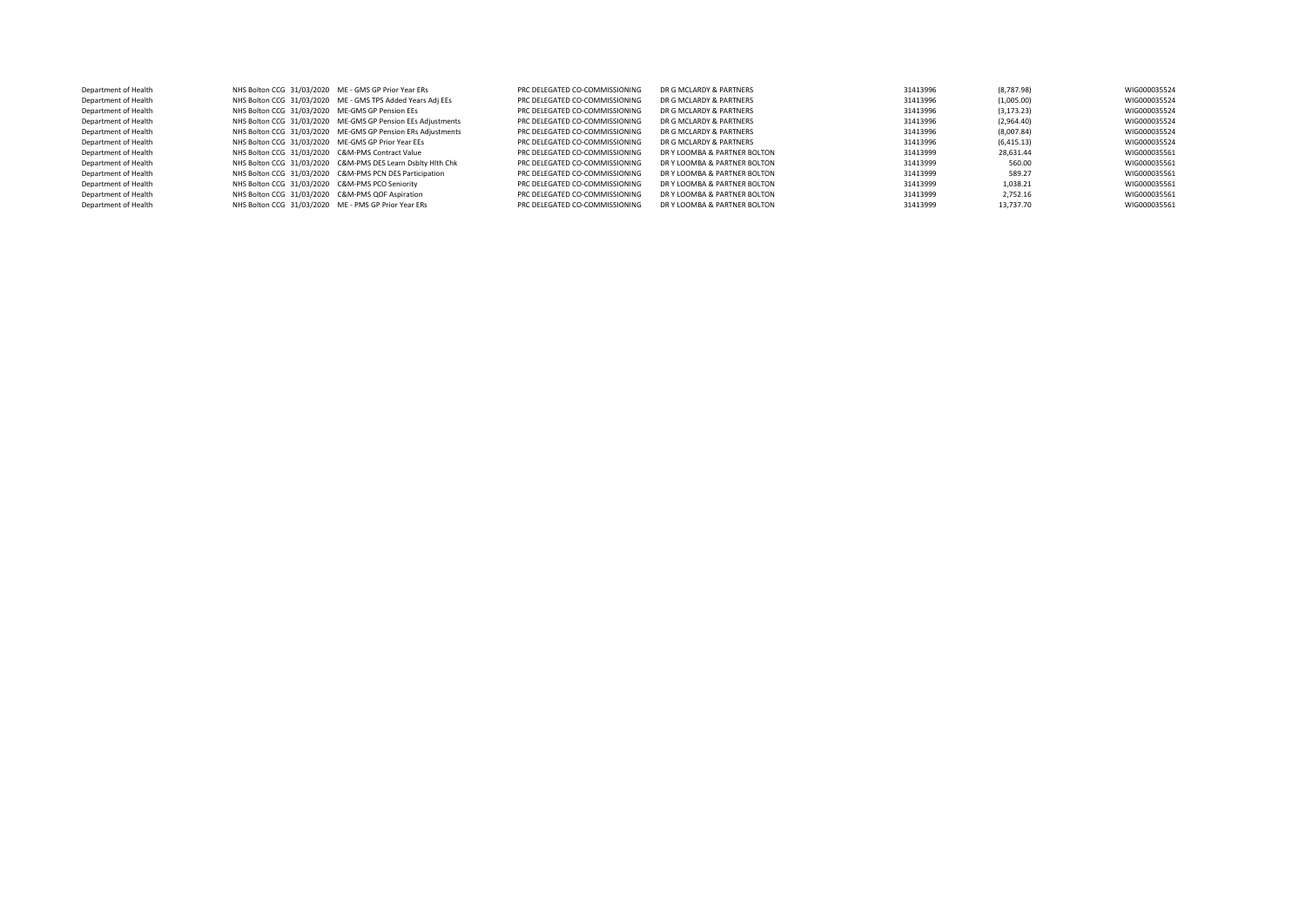| Department of Health | NHS Bolton CCG 31/03/2020 ME - GMS GP Prior Year ERs |                                                             | PRC DELEGATED CO-COMMISSIONING | DR G MCLARDY & PARTNERS      | 31413996 | (8,787.98)  | WIG000035524 |
|----------------------|------------------------------------------------------|-------------------------------------------------------------|--------------------------------|------------------------------|----------|-------------|--------------|
| Department of Health |                                                      | NHS Bolton CCG 31/03/2020 ME - GMS TPS Added Years Adj EEs  | PRC DELEGATED CO-COMMISSIONING | DR G MCLARDY & PARTNERS      | 31413996 | (1,005.00)  | WIG000035524 |
| Department of Health | NHS Bolton CCG 31/03/2020 ME-GMS GP Pension EEs      |                                                             | PRC DELEGATED CO-COMMISSIONING | DR G MCLARDY & PARTNERS      | 31413996 | (3, 173.23) | WIG000035524 |
| Department of Health |                                                      | NHS Bolton CCG 31/03/2020 ME-GMS GP Pension EEs Adjustments | PRC DELEGATED CO-COMMISSIONING | DR G MCLARDY & PARTNERS      | 31413996 | (2,964.40)  | WIG000035524 |
| Department of Health |                                                      | NHS Bolton CCG 31/03/2020 ME-GMS GP Pension ERs Adjustments | PRC DELEGATED CO-COMMISSIONING | DR G MCLARDY & PARTNERS      | 31413996 | (8,007.84)  | WIG000035524 |
| Department of Health | NHS Bolton CCG 31/03/2020 ME-GMS GP Prior Year EEs   |                                                             | PRC DELEGATED CO-COMMISSIONING | DR G MCLARDY & PARTNERS      | 31413996 | (6, 415.13) | WIG000035524 |
| Department of Health | NHS Bolton CCG 31/03/2020 C&M-PMS Contract Value     |                                                             | PRC DELEGATED CO-COMMISSIONING | DR Y LOOMBA & PARTNER BOLTON | 31413999 | 28,631.44   | WIG000035561 |
| Department of Health |                                                      | NHS Bolton CCG 31/03/2020 C&M-PMS DES Learn Dsbltv Hith Chk | PRC DELEGATED CO-COMMISSIONING | DR Y LOOMBA & PARTNER BOLTON | 31413999 | 560.00      | WIG000035561 |
| Department of Health |                                                      | NHS Bolton CCG 31/03/2020 C&M-PMS PCN DES Participation     | PRC DELEGATED CO-COMMISSIONING | DR Y LOOMBA & PARTNER BOLTON | 31413999 | 589.27      | WIG000035561 |
| Department of Health | NHS Bolton CCG 31/03/2020 C&M-PMS PCO Seniority      |                                                             | PRC DELEGATED CO-COMMISSIONING | DR Y LOOMBA & PARTNER BOLTON | 31413999 | 1.038.21    | WIG000035561 |
| Department of Health | NHS Bolton CCG 31/03/2020 C&M-PMS QOF Aspiration     |                                                             | PRC DELEGATED CO-COMMISSIONING | DR Y LOOMBA & PARTNER BOLTON | 31413999 | 2.752.16    | WIG000035561 |
| Department of Health | NHS Bolton CCG 31/03/2020 ME - PMS GP Prior Year ERs |                                                             | PRC DELEGATED CO-COMMISSIONING | DR Y LOOMBA & PARTNER BOLTON | 31413999 | 13,737.70   | WIG000035561 |
|                      |                                                      |                                                             |                                |                              |          |             |              |